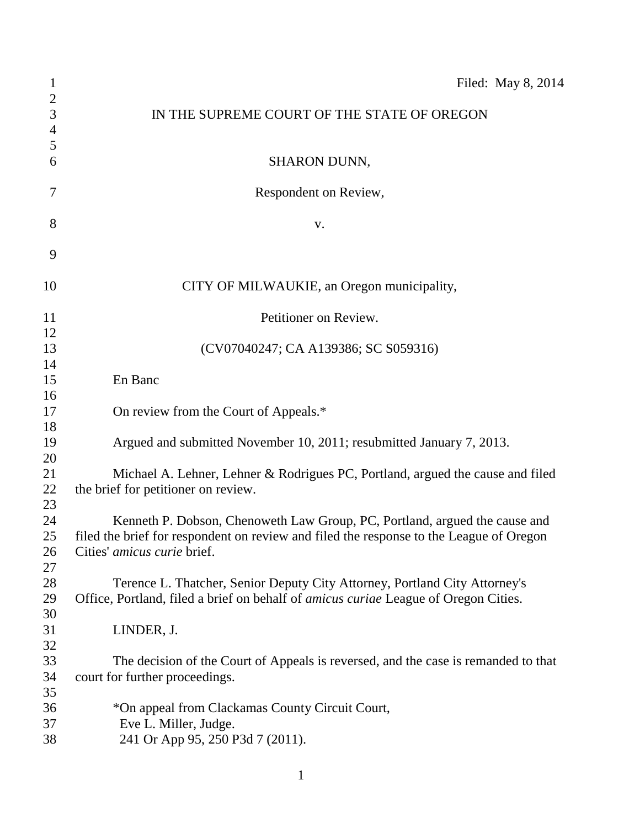| $\mathbf{1}$                   | Filed: May 8, 2014                                                                         |
|--------------------------------|--------------------------------------------------------------------------------------------|
| $\mathbf{2}$<br>$\mathfrak{Z}$ | IN THE SUPREME COURT OF THE STATE OF OREGON                                                |
| $\overline{4}$                 |                                                                                            |
| $\mathfrak{S}$                 |                                                                                            |
| 6                              | SHARON DUNN,                                                                               |
| 7                              | Respondent on Review,                                                                      |
| 8                              | V.                                                                                         |
| 9                              |                                                                                            |
| 10                             | CITY OF MILWAUKIE, an Oregon municipality,                                                 |
| 11                             | Petitioner on Review.                                                                      |
| 12                             |                                                                                            |
| 13<br>14                       | (CV07040247; CA A139386; SC S059316)                                                       |
| 15                             | En Banc                                                                                    |
| 16                             |                                                                                            |
| 17                             | On review from the Court of Appeals.*                                                      |
| 18                             |                                                                                            |
| 19                             | Argued and submitted November 10, 2011; resubmitted January 7, 2013.                       |
| 20                             |                                                                                            |
| 21                             | Michael A. Lehner, Lehner & Rodrigues PC, Portland, argued the cause and filed             |
| 22                             | the brief for petitioner on review.                                                        |
| 23                             |                                                                                            |
| 24                             | Kenneth P. Dobson, Chenoweth Law Group, PC, Portland, argued the cause and                 |
| 25                             | filed the brief for respondent on review and filed the response to the League of Oregon    |
| 26                             | Cities' amicus curie brief.                                                                |
| 27                             |                                                                                            |
| 28                             | Terence L. Thatcher, Senior Deputy City Attorney, Portland City Attorney's                 |
| 29                             | Office, Portland, filed a brief on behalf of <i>amicus curiae</i> League of Oregon Cities. |
| 30                             |                                                                                            |
| 31                             | LINDER, J.                                                                                 |
| 32                             |                                                                                            |
| 33<br>34                       | The decision of the Court of Appeals is reversed, and the case is remanded to that         |
| 35                             | court for further proceedings.                                                             |
| 36                             | *On appeal from Clackamas County Circuit Court,                                            |
| 37                             | Eve L. Miller, Judge.                                                                      |
| 38                             | 241 Or App 95, 250 P3d 7 (2011).                                                           |
|                                |                                                                                            |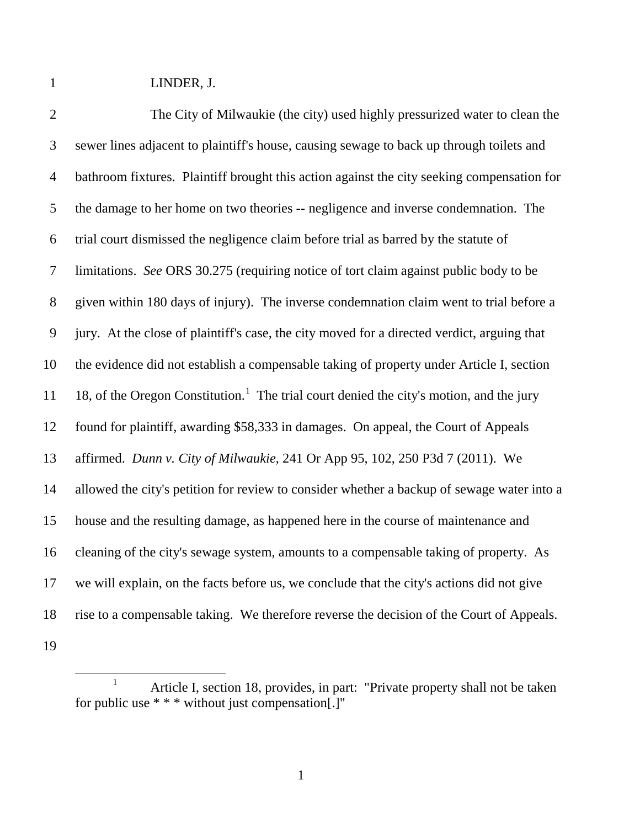LINDER, J.

| $\overline{2}$ | The City of Milwaukie (the city) used highly pressurized water to clean the                         |
|----------------|-----------------------------------------------------------------------------------------------------|
| $\mathfrak{Z}$ | sewer lines adjacent to plaintiff's house, causing sewage to back up through toilets and            |
| $\overline{4}$ | bathroom fixtures. Plaintiff brought this action against the city seeking compensation for          |
| 5              | the damage to her home on two theories -- negligence and inverse condemnation. The                  |
| 6              | trial court dismissed the negligence claim before trial as barred by the statute of                 |
| $\overline{7}$ | limitations. See ORS 30.275 (requiring notice of tort claim against public body to be               |
| 8              | given within 180 days of injury). The inverse condemnation claim went to trial before a             |
| 9              | jury. At the close of plaintiff's case, the city moved for a directed verdict, arguing that         |
| 10             | the evidence did not establish a compensable taking of property under Article I, section            |
| 11             | 18, of the Oregon Constitution. <sup>1</sup> The trial court denied the city's motion, and the jury |
| 12             | found for plaintiff, awarding \$58,333 in damages. On appeal, the Court of Appeals                  |
| 13             | affirmed. Dunn v. City of Milwaukie, 241 Or App 95, 102, 250 P3d 7 (2011). We                       |
| 14             | allowed the city's petition for review to consider whether a backup of sewage water into a          |
| 15             | house and the resulting damage, as happened here in the course of maintenance and                   |
| 16             | cleaning of the city's sewage system, amounts to a compensable taking of property. As               |
| 17             | we will explain, on the facts before us, we conclude that the city's actions did not give           |
| 18             | rise to a compensable taking. We therefore reverse the decision of the Court of Appeals.            |
| 19             |                                                                                                     |

<span id="page-1-0"></span><sup>&</sup>lt;sup>1</sup> Article I, section 18, provides, in part: "Private property shall not be taken for public use \* \* \* without just compensation[.]"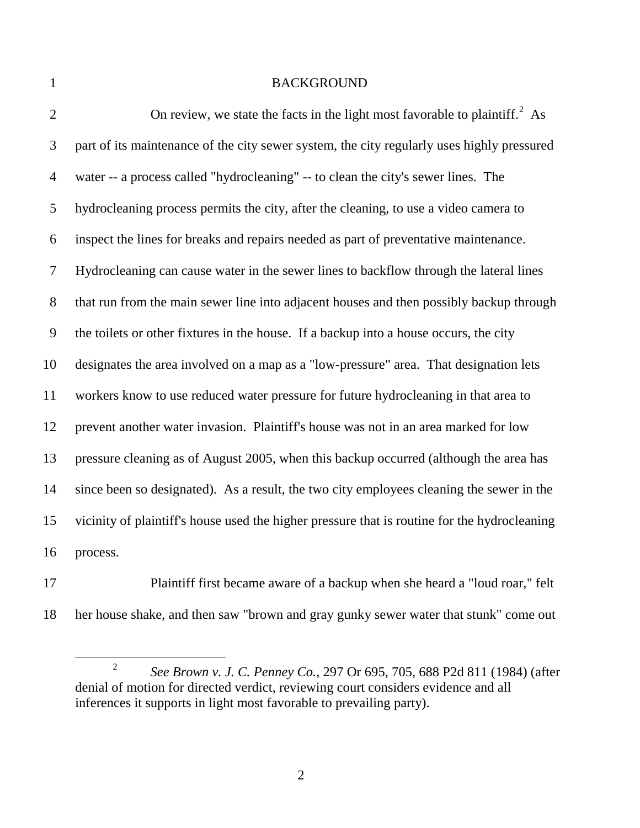## 1 BACKGROUND

| $\overline{2}$ | On review, we state the facts in the light most favorable to plaintiff. <sup>2</sup> As      |
|----------------|----------------------------------------------------------------------------------------------|
| 3              | part of its maintenance of the city sewer system, the city regularly uses highly pressured   |
| 4              | water -- a process called "hydrocleaning" -- to clean the city's sewer lines. The            |
| 5              | hydrocleaning process permits the city, after the cleaning, to use a video camera to         |
| 6              | inspect the lines for breaks and repairs needed as part of preventative maintenance.         |
| 7              | Hydrocleaning can cause water in the sewer lines to backflow through the lateral lines       |
| 8              | that run from the main sewer line into adjacent houses and then possibly backup through      |
| 9              | the toilets or other fixtures in the house. If a backup into a house occurs, the city        |
| 10             | designates the area involved on a map as a "low-pressure" area. That designation lets        |
| 11             | workers know to use reduced water pressure for future hydrocleaning in that area to          |
| 12             | prevent another water invasion. Plaintiff's house was not in an area marked for low          |
| 13             | pressure cleaning as of August 2005, when this backup occurred (although the area has        |
| 14             | since been so designated). As a result, the two city employees cleaning the sewer in the     |
| 15             | vicinity of plaintiff's house used the higher pressure that is routine for the hydrocleaning |
| 16             | process.                                                                                     |

 Plaintiff first became aware of a backup when she heard a "loud roar," felt her house shake, and then saw "brown and gray gunky sewer water that stunk" come out

<span id="page-2-0"></span> *See Brown v. J. C. Penney Co.*, 297 Or 695, 705, 688 P2d 811 (1984) (after denial of motion for directed verdict, reviewing court considers evidence and all inferences it supports in light most favorable to prevailing party).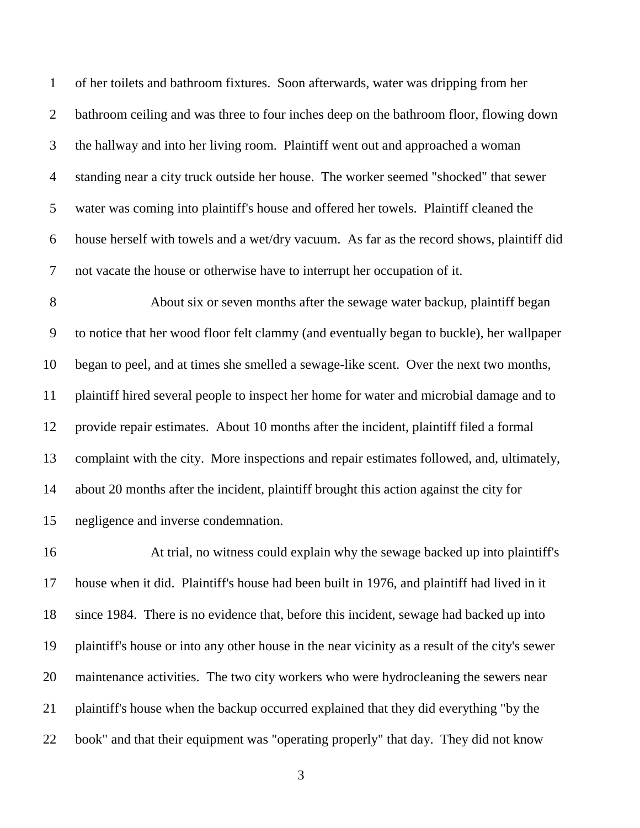of her toilets and bathroom fixtures. Soon afterwards, water was dripping from her bathroom ceiling and was three to four inches deep on the bathroom floor, flowing down the hallway and into her living room. Plaintiff went out and approached a woman standing near a city truck outside her house. The worker seemed "shocked" that sewer water was coming into plaintiff's house and offered her towels. Plaintiff cleaned the house herself with towels and a wet/dry vacuum. As far as the record shows, plaintiff did not vacate the house or otherwise have to interrupt her occupation of it.

 About six or seven months after the sewage water backup, plaintiff began to notice that her wood floor felt clammy (and eventually began to buckle), her wallpaper began to peel, and at times she smelled a sewage-like scent. Over the next two months, plaintiff hired several people to inspect her home for water and microbial damage and to provide repair estimates. About 10 months after the incident, plaintiff filed a formal complaint with the city. More inspections and repair estimates followed, and, ultimately, about 20 months after the incident, plaintiff brought this action against the city for negligence and inverse condemnation.

 At trial, no witness could explain why the sewage backed up into plaintiff's house when it did. Plaintiff's house had been built in 1976, and plaintiff had lived in it since 1984. There is no evidence that, before this incident, sewage had backed up into plaintiff's house or into any other house in the near vicinity as a result of the city's sewer maintenance activities. The two city workers who were hydrocleaning the sewers near plaintiff's house when the backup occurred explained that they did everything "by the book" and that their equipment was "operating properly" that day. They did not know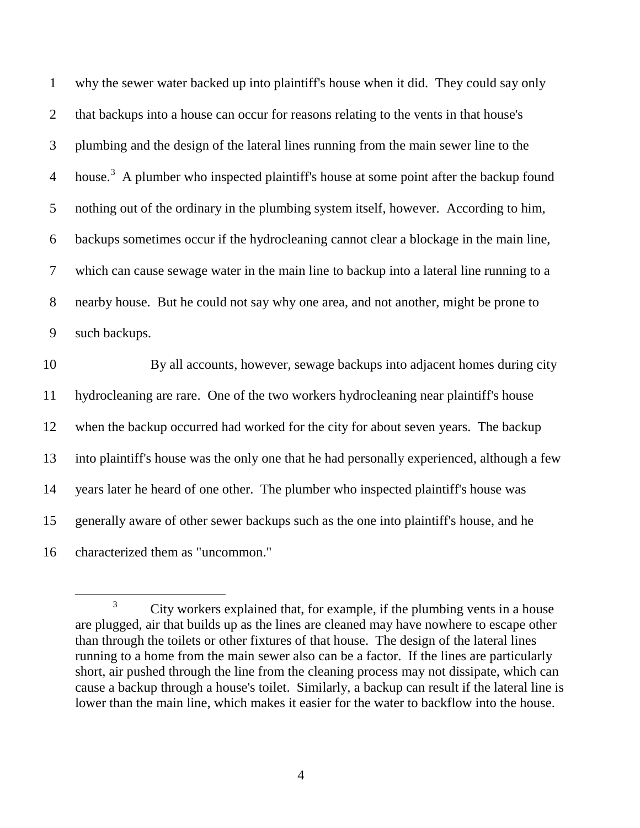| $\mathbf{1}$   | why the sewer water backed up into plaintiff's house when it did. They could say only              |
|----------------|----------------------------------------------------------------------------------------------------|
| $\overline{2}$ | that backups into a house can occur for reasons relating to the vents in that house's              |
| 3              | plumbing and the design of the lateral lines running from the main sewer line to the               |
| $\overline{4}$ | house. <sup>3</sup> A plumber who inspected plaintiff's house at some point after the backup found |
| 5              | nothing out of the ordinary in the plumbing system itself, however. According to him,              |
| 6              | backups sometimes occur if the hydrocleaning cannot clear a blockage in the main line,             |
| $\tau$         | which can cause sewage water in the main line to backup into a lateral line running to a           |
| $8\,$          | nearby house. But he could not say why one area, and not another, might be prone to                |
| 9              | such backups.                                                                                      |
| 10             | By all accounts, however, sewage backups into adjacent homes during city                           |
| 11             | hydrocleaning are rare. One of the two workers hydrocleaning near plaintiff's house                |
| 12             | when the backup occurred had worked for the city for about seven years. The backup                 |
| 13             | into plaintiff's house was the only one that he had personally experienced, although a few         |
| 14             | years later he heard of one other. The plumber who inspected plaintiff's house was                 |
| 15             | generally aware of other sewer backups such as the one into plaintiff's house, and he              |
|                |                                                                                                    |

<span id="page-4-0"></span>characterized them as "uncommon."

<sup>&</sup>lt;sup>3</sup> City workers explained that, for example, if the plumbing vents in a house are plugged, air that builds up as the lines are cleaned may have nowhere to escape other than through the toilets or other fixtures of that house. The design of the lateral lines running to a home from the main sewer also can be a factor. If the lines are particularly short, air pushed through the line from the cleaning process may not dissipate, which can cause a backup through a house's toilet. Similarly, a backup can result if the lateral line is lower than the main line, which makes it easier for the water to backflow into the house.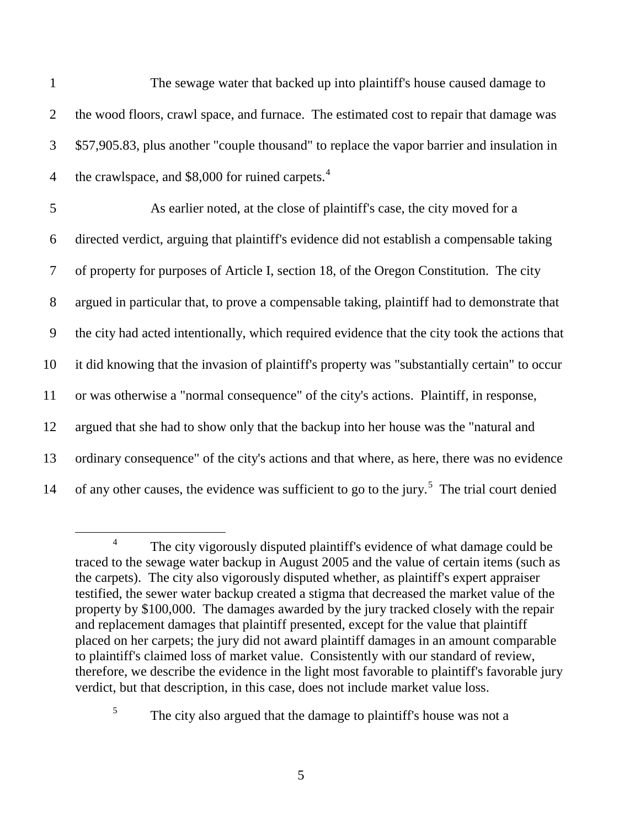| $\mathbf{1}$   | The sewage water that backed up into plaintiff's house caused damage to                                 |
|----------------|---------------------------------------------------------------------------------------------------------|
| $\overline{2}$ | the wood floors, crawl space, and furnace. The estimated cost to repair that damage was                 |
| 3              | \$57,905.83, plus another "couple thousand" to replace the vapor barrier and insulation in              |
| $\overline{4}$ | the crawlspace, and \$8,000 for ruined carpets. <sup>4</sup>                                            |
| 5              | As earlier noted, at the close of plaintiff's case, the city moved for a                                |
| 6              | directed verdict, arguing that plaintiff's evidence did not establish a compensable taking              |
| 7              | of property for purposes of Article I, section 18, of the Oregon Constitution. The city                 |
| 8              | argued in particular that, to prove a compensable taking, plaintiff had to demonstrate that             |
| 9              | the city had acted intentionally, which required evidence that the city took the actions that           |
| 10             | it did knowing that the invasion of plaintiff's property was "substantially certain" to occur           |
| 11             | or was otherwise a "normal consequence" of the city's actions. Plaintiff, in response,                  |
| 12             | argued that she had to show only that the backup into her house was the "natural and                    |
| 13             | ordinary consequence" of the city's actions and that where, as here, there was no evidence              |
| 14             | of any other causes, the evidence was sufficient to go to the jury. <sup>5</sup> The trial court denied |

<span id="page-5-0"></span><sup>&</sup>lt;sup>4</sup> The city vigorously disputed plaintiff's evidence of what damage could be traced to the sewage water backup in August 2005 and the value of certain items (such as the carpets). The city also vigorously disputed whether, as plaintiff's expert appraiser testified, the sewer water backup created a stigma that decreased the market value of the property by \$100,000. The damages awarded by the jury tracked closely with the repair and replacement damages that plaintiff presented, except for the value that plaintiff placed on her carpets; the jury did not award plaintiff damages in an amount comparable to plaintiff's claimed loss of market value. Consistently with our standard of review, therefore, we describe the evidence in the light most favorable to plaintiff's favorable jury verdict, but that description, in this case, does not include market value loss.

<span id="page-5-1"></span><sup>&</sup>lt;sup>5</sup> The city also argued that the damage to plaintiff's house was not a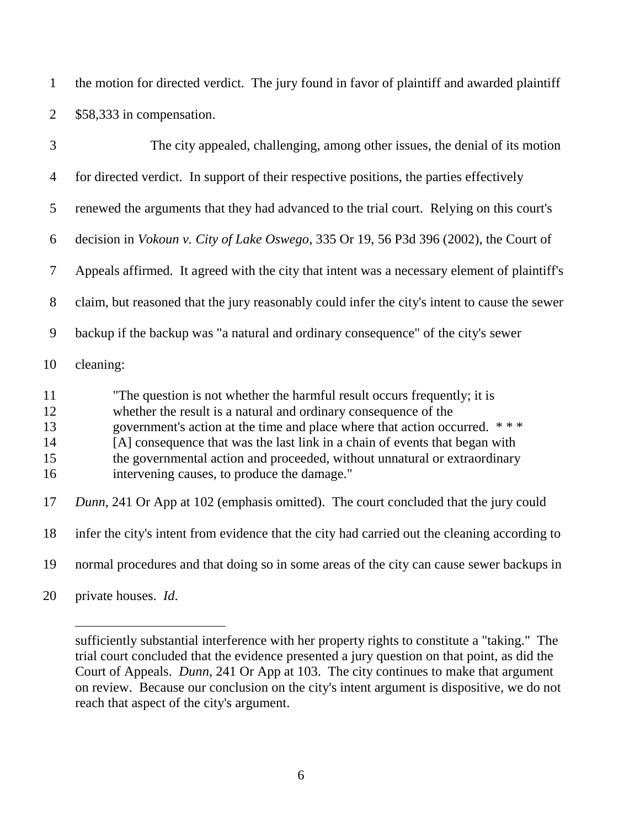the motion for directed verdict. The jury found in favor of plaintiff and awarded plaintiff \$58,333 in compensation.

| 3                                | The city appealed, challenging, among other issues, the denial of its motion                                                                                                                                                                                                                                                                                                                                                             |
|----------------------------------|------------------------------------------------------------------------------------------------------------------------------------------------------------------------------------------------------------------------------------------------------------------------------------------------------------------------------------------------------------------------------------------------------------------------------------------|
| 4                                | for directed verdict. In support of their respective positions, the parties effectively                                                                                                                                                                                                                                                                                                                                                  |
| 5                                | renewed the arguments that they had advanced to the trial court. Relying on this court's                                                                                                                                                                                                                                                                                                                                                 |
| 6                                | decision in <i>Vokoun v. City of Lake Oswego</i> , 335 Or 19, 56 P3d 396 (2002), the Court of                                                                                                                                                                                                                                                                                                                                            |
| 7                                | Appeals affirmed. It agreed with the city that intent was a necessary element of plaintiff's                                                                                                                                                                                                                                                                                                                                             |
| 8                                | claim, but reasoned that the jury reasonably could infer the city's intent to cause the sewer                                                                                                                                                                                                                                                                                                                                            |
| 9                                | backup if the backup was "a natural and ordinary consequence" of the city's sewer                                                                                                                                                                                                                                                                                                                                                        |
| 10                               | cleaning:                                                                                                                                                                                                                                                                                                                                                                                                                                |
| 11<br>12<br>13<br>14<br>15<br>16 | "The question is not whether the harmful result occurs frequently; it is<br>whether the result is a natural and ordinary consequence of the<br>government's action at the time and place where that action occurred.<br>$***$<br>[A] consequence that was the last link in a chain of events that began with<br>the governmental action and proceeded, without unnatural or extraordinary<br>intervening causes, to produce the damage." |
| 17                               | Dunn, 241 Or App at 102 (emphasis omitted). The court concluded that the jury could                                                                                                                                                                                                                                                                                                                                                      |

infer the city's intent from evidence that the city had carried out the cleaning according to

normal procedures and that doing so in some areas of the city can cause sewer backups in

private houses. *Id*.

sufficiently substantial interference with her property rights to constitute a "taking." The trial court concluded that the evidence presented a jury question on that point, as did the Court of Appeals. *Dunn*, 241 Or App at 103. The city continues to make that argument on review. Because our conclusion on the city's intent argument is dispositive, we do not reach that aspect of the city's argument.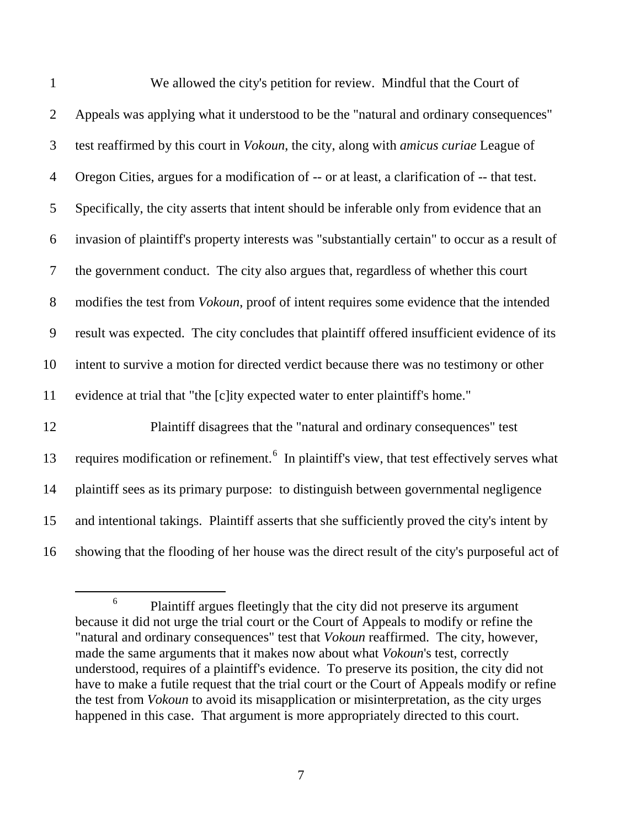| $\mathbf{1}$   | We allowed the city's petition for review. Mindful that the Court of                                     |
|----------------|----------------------------------------------------------------------------------------------------------|
| $\overline{2}$ | Appeals was applying what it understood to be the "natural and ordinary consequences"                    |
| 3              | test reaffirmed by this court in <i>Vokoun</i> , the city, along with <i>amicus curiae</i> League of     |
| $\overline{4}$ | Oregon Cities, argues for a modification of -- or at least, a clarification of -- that test.             |
| 5              | Specifically, the city asserts that intent should be inferable only from evidence that an                |
| 6              | invasion of plaintiff's property interests was "substantially certain" to occur as a result of           |
| $\tau$         | the government conduct. The city also argues that, regardless of whether this court                      |
| $8\,$          | modifies the test from <i>Vokoun</i> , proof of intent requires some evidence that the intended          |
| 9              | result was expected. The city concludes that plaintiff offered insufficient evidence of its              |
| 10             | intent to survive a motion for directed verdict because there was no testimony or other                  |
| 11             | evidence at trial that "the [c]ity expected water to enter plaintiff's home."                            |
| 12             | Plaintiff disagrees that the "natural and ordinary consequences" test                                    |
| 13             | requires modification or refinement. <sup>6</sup> In plaintiff's view, that test effectively serves what |
| 14             | plaintiff sees as its primary purpose: to distinguish between governmental negligence                    |
| 15             | and intentional takings. Plaintiff asserts that she sufficiently proved the city's intent by             |
| 16             | showing that the flooding of her house was the direct result of the city's purposeful act of             |

<span id="page-7-0"></span><sup>&</sup>lt;sup>6</sup> Plaintiff argues fleetingly that the city did not preserve its argument because it did not urge the trial court or the Court of Appeals to modify or refine the "natural and ordinary consequences" test that *Vokoun* reaffirmed. The city, however, made the same arguments that it makes now about what *Vokoun*'s test, correctly understood, requires of a plaintiff's evidence. To preserve its position, the city did not have to make a futile request that the trial court or the Court of Appeals modify or refine the test from *Vokoun* to avoid its misapplication or misinterpretation, as the city urges happened in this case. That argument is more appropriately directed to this court.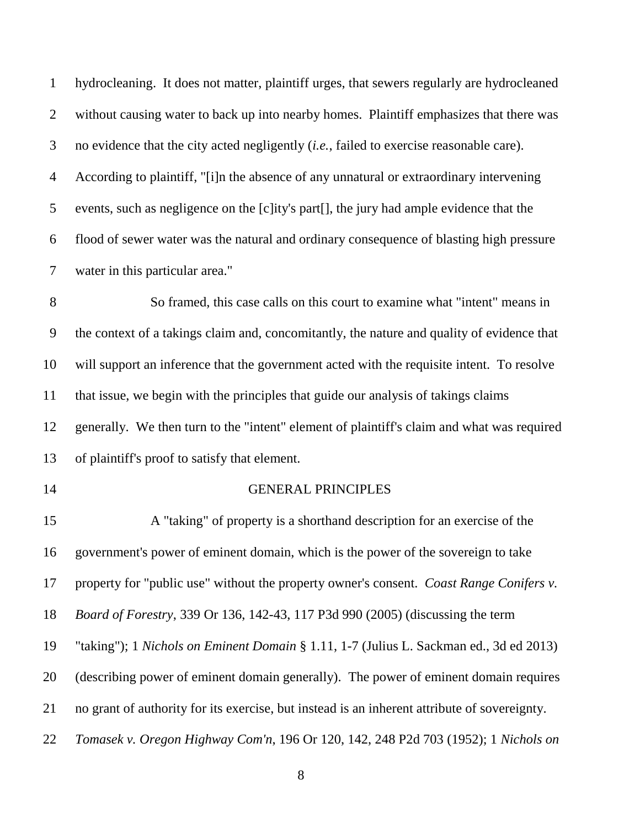hydrocleaning. It does not matter, plaintiff urges, that sewers regularly are hydrocleaned without causing water to back up into nearby homes. Plaintiff emphasizes that there was no evidence that the city acted negligently (*i.e.*, failed to exercise reasonable care). According to plaintiff, "[i]n the absence of any unnatural or extraordinary intervening events, such as negligence on the [c]ity's part[], the jury had ample evidence that the flood of sewer water was the natural and ordinary consequence of blasting high pressure water in this particular area." So framed, this case calls on this court to examine what "intent" means in the context of a takings claim and, concomitantly, the nature and quality of evidence that will support an inference that the government acted with the requisite intent. To resolve that issue, we begin with the principles that guide our analysis of takings claims generally. We then turn to the "intent" element of plaintiff's claim and what was required of plaintiff's proof to satisfy that element. GENERAL PRINCIPLES A "taking" of property is a shorthand description for an exercise of the government's power of eminent domain, which is the power of the sovereign to take property for "public use" without the property owner's consent. *Coast Range Conifers v. Board of Forestry*, 339 Or 136, 142-43, 117 P3d 990 (2005) (discussing the term

"taking"); 1 *Nichols on Eminent Domain* § 1.11, 1-7 (Julius L. Sackman ed., 3d ed 2013)

(describing power of eminent domain generally). The power of eminent domain requires

no grant of authority for its exercise, but instead is an inherent attribute of sovereignty.

*Tomasek v. Oregon Highway Com'n*, 196 Or 120, 142, 248 P2d 703 (1952); 1 *Nichols on*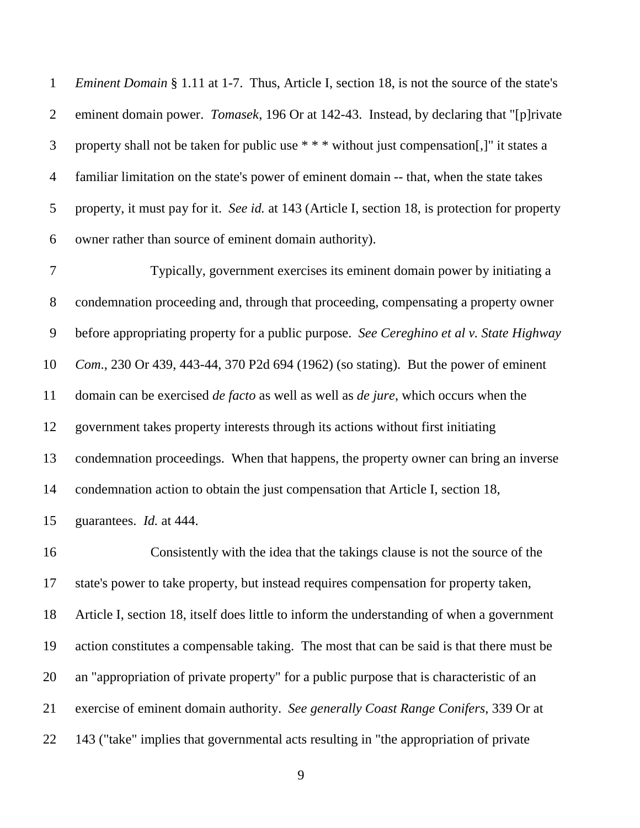*Eminent Domain* § 1.11 at 1-7. Thus, Article I, section 18, is not the source of the state's eminent domain power. *Tomasek*, 196 Or at 142-43. Instead, by declaring that "[p]rivate property shall not be taken for public use \* \* \* without just compensation[,]" it states a familiar limitation on the state's power of eminent domain -- that, when the state takes property, it must pay for it. *See id.* at 143 (Article I, section 18, is protection for property owner rather than source of eminent domain authority).

 Typically, government exercises its eminent domain power by initiating a condemnation proceeding and, through that proceeding, compensating a property owner before appropriating property for a public purpose. *See Cereghino et al v. State Highway Com*., 230 Or 439, 443-44, 370 P2d 694 (1962) (so stating). But the power of eminent domain can be exercised *de facto* as well as well as *de jure*, which occurs when the government takes property interests through its actions without first initiating condemnation proceedings. When that happens, the property owner can bring an inverse condemnation action to obtain the just compensation that Article I, section 18, guarantees. *Id.* at 444.

 Consistently with the idea that the takings clause is not the source of the state's power to take property, but instead requires compensation for property taken, Article I, section 18, itself does little to inform the understanding of when a government action constitutes a compensable taking. The most that can be said is that there must be an "appropriation of private property" for a public purpose that is characteristic of an exercise of eminent domain authority. *See generally Coast Range Conifers*, 339 Or at 143 ("take" implies that governmental acts resulting in "the appropriation of private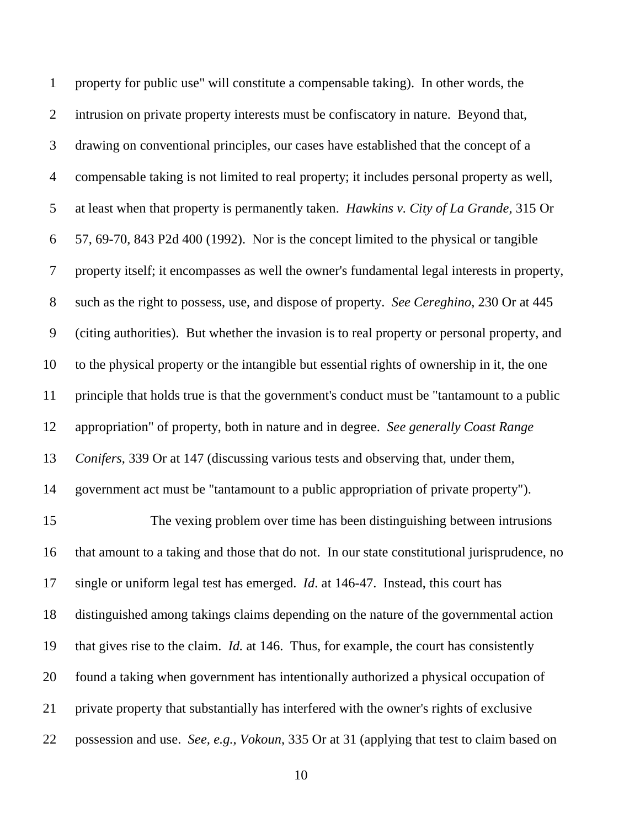property for public use" will constitute a compensable taking). In other words, the intrusion on private property interests must be confiscatory in nature. Beyond that, drawing on conventional principles, our cases have established that the concept of a compensable taking is not limited to real property; it includes personal property as well, at least when that property is permanently taken. *Hawkins v. City of La Grande*, 315 Or 57, 69-70, 843 P2d 400 (1992). Nor is the concept limited to the physical or tangible property itself; it encompasses as well the owner's fundamental legal interests in property, such as the right to possess, use, and dispose of property. *See Cereghino*, 230 Or at 445 (citing authorities). But whether the invasion is to real property or personal property, and to the physical property or the intangible but essential rights of ownership in it, the one principle that holds true is that the government's conduct must be "tantamount to a public appropriation" of property, both in nature and in degree. *See generally Coast Range Conifers*, 339 Or at 147 (discussing various tests and observing that, under them, government act must be "tantamount to a public appropriation of private property"). The vexing problem over time has been distinguishing between intrusions that amount to a taking and those that do not. In our state constitutional jurisprudence, no single or uniform legal test has emerged. *Id*. at 146-47. Instead, this court has distinguished among takings claims depending on the nature of the governmental action that gives rise to the claim. *Id.* at 146. Thus, for example, the court has consistently found a taking when government has intentionally authorized a physical occupation of private property that substantially has interfered with the owner's rights of exclusive possession and use. *See, e.g.*, *Vokoun*, 335 Or at 31 (applying that test to claim based on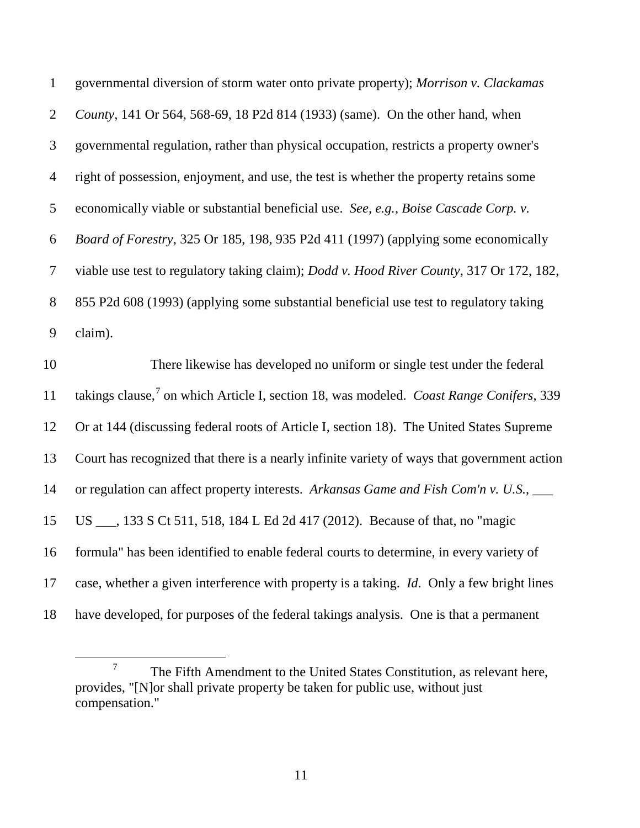| $\mathbf 1$    | governmental diversion of storm water onto private property); Morrison v. Clackamas         |
|----------------|---------------------------------------------------------------------------------------------|
| $\overline{2}$ | County, 141 Or 564, 568-69, 18 P2d 814 (1933) (same). On the other hand, when               |
| 3              | governmental regulation, rather than physical occupation, restricts a property owner's      |
| $\overline{4}$ | right of possession, enjoyment, and use, the test is whether the property retains some      |
| 5              | economically viable or substantial beneficial use. See, e.g., Boise Cascade Corp. v.        |
| 6              | Board of Forestry, 325 Or 185, 198, 935 P2d 411 (1997) (applying some economically          |
| $\overline{7}$ | viable use test to regulatory taking claim); Dodd v. Hood River County, 317 Or 172, 182,    |
| 8              | 855 P2d 608 (1993) (applying some substantial beneficial use test to regulatory taking      |
| 9              | claim).                                                                                     |
|                |                                                                                             |
| 10             | There likewise has developed no uniform or single test under the federal                    |
| 11             | takings clause, on which Article I, section 18, was modeled. Coast Range Conifers, 339      |
| 12             | Or at 144 (discussing federal roots of Article I, section 18). The United States Supreme    |
| 13             | Court has recognized that there is a nearly infinite variety of ways that government action |
| 14             | or regulation can affect property interests. Arkansas Game and Fish Com'n v. U.S., ___      |
| 15             | US ___, 133 S Ct 511, 518, 184 L Ed 2d 417 (2012). Because of that, no "magic               |
| 16             | formula" has been identified to enable federal courts to determine, in every variety of     |
| 17             | case, whether a given interference with property is a taking. Id. Only a few bright lines   |

<span id="page-11-0"></span> The Fifth Amendment to the United States Constitution, as relevant here, provides, "[N]or shall private property be taken for public use, without just compensation."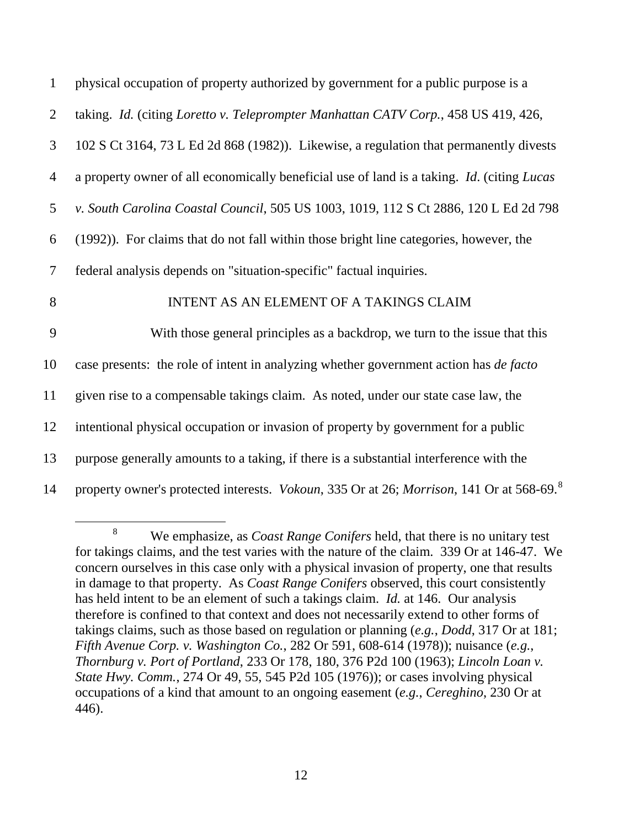| $\mathbf{1}$   | physical occupation of property authorized by government for a public purpose is a                                   |
|----------------|----------------------------------------------------------------------------------------------------------------------|
| 2              | taking. Id. (citing Loretto v. Teleprompter Manhattan CATV Corp., 458 US 419, 426,                                   |
| 3              | 102 S Ct 3164, 73 L Ed 2d 868 (1982)). Likewise, a regulation that permanently divests                               |
| $\overline{4}$ | a property owner of all economically beneficial use of land is a taking. <i>Id.</i> (citing <i>Lucas</i>             |
| 5              | v. South Carolina Coastal Council, 505 US 1003, 1019, 112 S Ct 2886, 120 L Ed 2d 798                                 |
| 6              | (1992)). For claims that do not fall within those bright line categories, however, the                               |
| $\overline{7}$ | federal analysis depends on "situation-specific" factual inquiries.                                                  |
| 8              | INTENT AS AN ELEMENT OF A TAKINGS CLAIM                                                                              |
| 9              | With those general principles as a backdrop, we turn to the issue that this                                          |
| 10             | case presents: the role of intent in analyzing whether government action has <i>de facto</i>                         |
| 11             | given rise to a compensable takings claim. As noted, under our state case law, the                                   |
| 12             | intentional physical occupation or invasion of property by government for a public                                   |
| 13             | purpose generally amounts to a taking, if there is a substantial interference with the                               |
| 14             | property owner's protected interests. <i>Vokoun</i> , 335 Or at 26; <i>Morrison</i> , 141 Or at 568-69. <sup>8</sup> |

<span id="page-12-0"></span> <sup>8</sup> We emphasize, as *Coast Range Conifers* held, that there is no unitary test for takings claims, and the test varies with the nature of the claim. 339 Or at 146-47. We concern ourselves in this case only with a physical invasion of property, one that results in damage to that property. As *Coast Range Conifers* observed, this court consistently has held intent to be an element of such a takings claim. *Id.* at 146. Our analysis therefore is confined to that context and does not necessarily extend to other forms of takings claims, such as those based on regulation or planning (*e.g.*, *Dodd*, 317 Or at 181; *Fifth Avenue Corp. v. Washington Co.*, 282 Or 591, 608-614 (1978)); nuisance (*e.g.*, *Thornburg v. Port of Portland*, 233 Or 178, 180, 376 P2d 100 (1963); *Lincoln Loan v. State Hwy. Comm.*, 274 Or 49, 55, 545 P2d 105 (1976)); or cases involving physical occupations of a kind that amount to an ongoing easement (*e.g.*, *Cereghino*, 230 Or at 446).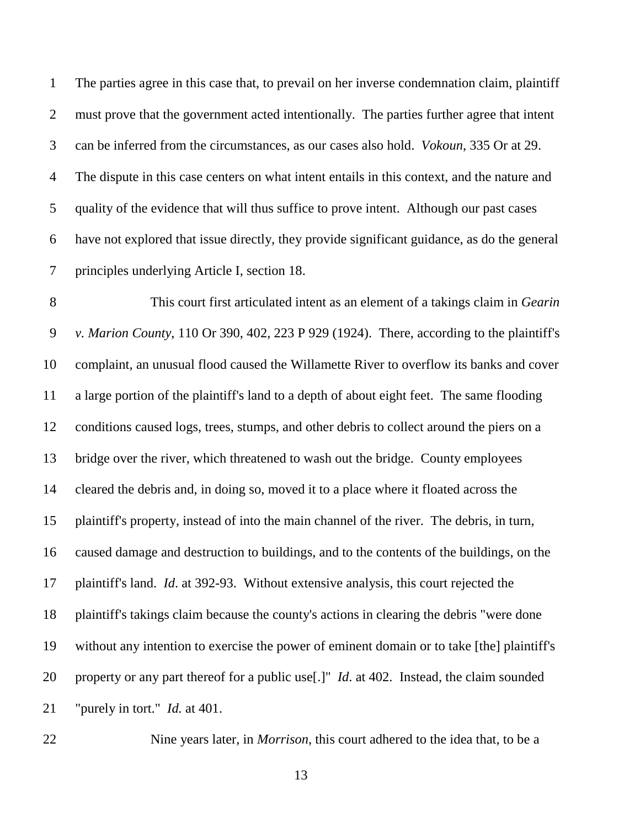The parties agree in this case that, to prevail on her inverse condemnation claim, plaintiff must prove that the government acted intentionally. The parties further agree that intent can be inferred from the circumstances, as our cases also hold. *Vokoun*, 335 Or at 29. The dispute in this case centers on what intent entails in this context, and the nature and quality of the evidence that will thus suffice to prove intent. Although our past cases have not explored that issue directly, they provide significant guidance, as do the general principles underlying Article I, section 18.

8 This court first articulated intent as an element of a takings claim in *Gearin v. Marion County*, 110 Or 390, 402, 223 P 929 (1924). There, according to the plaintiff's complaint, an unusual flood caused the Willamette River to overflow its banks and cover a large portion of the plaintiff's land to a depth of about eight feet. The same flooding conditions caused logs, trees, stumps, and other debris to collect around the piers on a bridge over the river, which threatened to wash out the bridge. County employees cleared the debris and, in doing so, moved it to a place where it floated across the plaintiff's property, instead of into the main channel of the river. The debris, in turn, caused damage and destruction to buildings, and to the contents of the buildings, on the plaintiff's land. *Id*. at 392-93. Without extensive analysis, this court rejected the plaintiff's takings claim because the county's actions in clearing the debris "were done without any intention to exercise the power of eminent domain or to take [the] plaintiff's property or any part thereof for a public use[.]" *Id*. at 402. Instead, the claim sounded "purely in tort." *Id.* at 401.

Nine years later, in *Morrison*, this court adhered to the idea that, to be a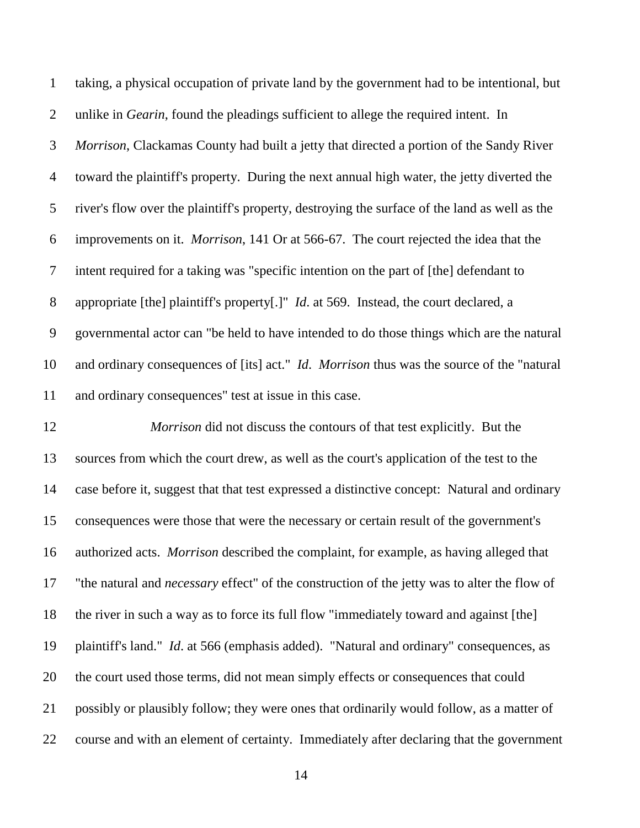taking, a physical occupation of private land by the government had to be intentional, but unlike in *Gearin*, found the pleadings sufficient to allege the required intent. In *Morrison*, Clackamas County had built a jetty that directed a portion of the Sandy River toward the plaintiff's property. During the next annual high water, the jetty diverted the river's flow over the plaintiff's property, destroying the surface of the land as well as the improvements on it. *Morrison*, 141 Or at 566-67. The court rejected the idea that the intent required for a taking was "specific intention on the part of [the] defendant to appropriate [the] plaintiff's property[.]" *Id*. at 569. Instead, the court declared, a governmental actor can "be held to have intended to do those things which are the natural and ordinary consequences of [its] act." *Id*. *Morrison* thus was the source of the "natural and ordinary consequences" test at issue in this case.

 *Morrison* did not discuss the contours of that test explicitly. But the sources from which the court drew, as well as the court's application of the test to the case before it, suggest that that test expressed a distinctive concept: Natural and ordinary consequences were those that were the necessary or certain result of the government's authorized acts. *Morrison* described the complaint, for example, as having alleged that "the natural and *necessary* effect" of the construction of the jetty was to alter the flow of the river in such a way as to force its full flow "immediately toward and against [the] plaintiff's land." *Id*. at 566 (emphasis added). "Natural and ordinary" consequences, as the court used those terms, did not mean simply effects or consequences that could possibly or plausibly follow; they were ones that ordinarily would follow, as a matter of course and with an element of certainty. Immediately after declaring that the government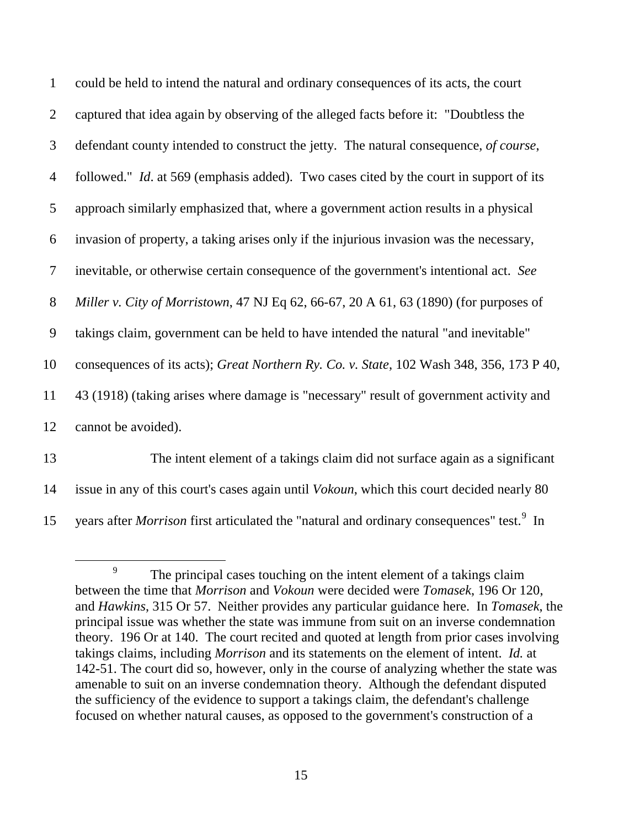| $\mathbf{1}$   | could be held to intend the natural and ordinary consequences of its acts, the court              |
|----------------|---------------------------------------------------------------------------------------------------|
| $\overline{2}$ | captured that idea again by observing of the alleged facts before it: "Doubtless the              |
| 3              | defendant county intended to construct the jetty. The natural consequence, of course,             |
| $\overline{4}$ | followed." <i>Id.</i> at 569 (emphasis added). Two cases cited by the court in support of its     |
| 5              | approach similarly emphasized that, where a government action results in a physical               |
| 6              | invasion of property, a taking arises only if the injurious invasion was the necessary,           |
| $\tau$         | inevitable, or otherwise certain consequence of the government's intentional act. See             |
| 8              | Miller v. City of Morristown, 47 NJ Eq 62, 66-67, 20 A 61, 63 (1890) (for purposes of             |
| 9              | takings claim, government can be held to have intended the natural "and inevitable"               |
| 10             | consequences of its acts); Great Northern Ry. Co. v. State, 102 Wash 348, 356, 173 P 40,          |
| 11             | 43 (1918) (taking arises where damage is "necessary" result of government activity and            |
| 12             | cannot be avoided).                                                                               |
| 13             | The intent element of a takings claim did not surface again as a significant                      |
| 14             | issue in any of this court's cases again until <i>Vokoun</i> , which this court decided nearly 80 |

<span id="page-15-0"></span><sup>15</sup> years after *Morrison* first articulated the "natural and ordinary consequences" test.<sup>[9](#page-15-0)</sup> In

<sup>&</sup>lt;sup>9</sup> The principal cases touching on the intent element of a takings claim between the time that *Morrison* and *Vokoun* were decided were *Tomasek*, 196 Or 120, and *Hawkins*, 315 Or 57. Neither provides any particular guidance here. In *Tomasek*, the principal issue was whether the state was immune from suit on an inverse condemnation theory. 196 Or at 140. The court recited and quoted at length from prior cases involving takings claims, including *Morrison* and its statements on the element of intent. *Id.* at 142-51. The court did so, however, only in the course of analyzing whether the state was amenable to suit on an inverse condemnation theory. Although the defendant disputed the sufficiency of the evidence to support a takings claim, the defendant's challenge focused on whether natural causes, as opposed to the government's construction of a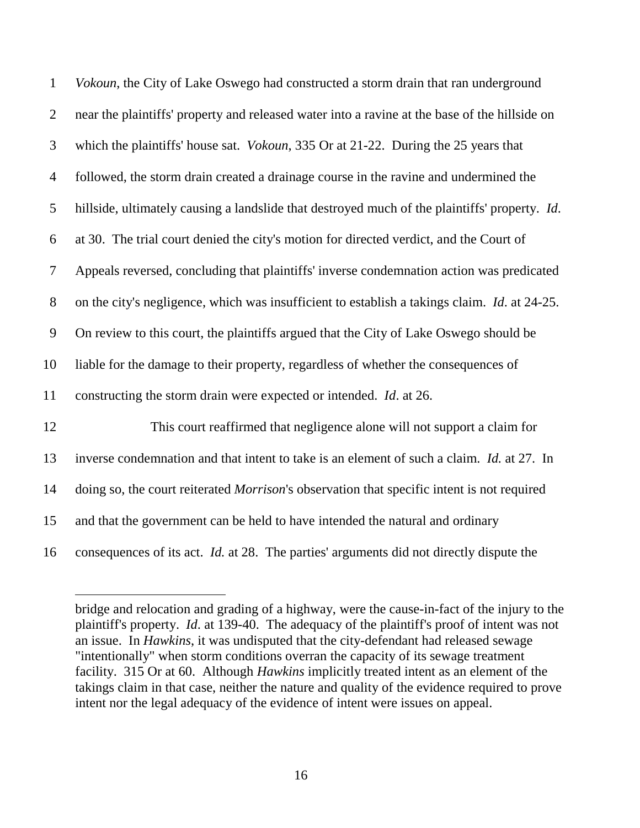| $\mathbf{1}$             | Vokoun, the City of Lake Oswego had constructed a storm drain that ran underground                  |
|--------------------------|-----------------------------------------------------------------------------------------------------|
| $\overline{2}$           | near the plaintiffs' property and released water into a ravine at the base of the hillside on       |
| 3                        | which the plaintiffs' house sat. <i>Vokoun</i> , 335 Or at 21-22. During the 25 years that          |
| $\overline{4}$           | followed, the storm drain created a drainage course in the ravine and undermined the                |
| 5                        | hillside, ultimately causing a landslide that destroyed much of the plaintiffs' property. Id.       |
| 6                        | at 30. The trial court denied the city's motion for directed verdict, and the Court of              |
| $\overline{\mathcal{L}}$ | Appeals reversed, concluding that plaintiffs' inverse condemnation action was predicated            |
| $8\,$                    | on the city's negligence, which was insufficient to establish a takings claim. <i>Id.</i> at 24-25. |
| 9                        | On review to this court, the plaintiffs argued that the City of Lake Oswego should be               |
| 10                       | liable for the damage to their property, regardless of whether the consequences of                  |
| 11                       | constructing the storm drain were expected or intended. <i>Id.</i> at 26.                           |
| 12                       | This court reaffirmed that negligence alone will not support a claim for                            |
| 13                       | inverse condemnation and that intent to take is an element of such a claim. Id. at 27. In           |
| 14                       | doing so, the court reiterated <i>Morrison's</i> observation that specific intent is not required   |
| 15                       | and that the government can be held to have intended the natural and ordinary                       |
| 16                       | consequences of its act. <i>Id.</i> at 28. The parties' arguments did not directly dispute the      |

bridge and relocation and grading of a highway, were the cause-in-fact of the injury to the plaintiff's property. *Id*. at 139-40. The adequacy of the plaintiff's proof of intent was not an issue. In *Hawkins*, it was undisputed that the city-defendant had released sewage "intentionally" when storm conditions overran the capacity of its sewage treatment facility. 315 Or at 60. Although *Hawkins* implicitly treated intent as an element of the takings claim in that case, neither the nature and quality of the evidence required to prove intent nor the legal adequacy of the evidence of intent were issues on appeal.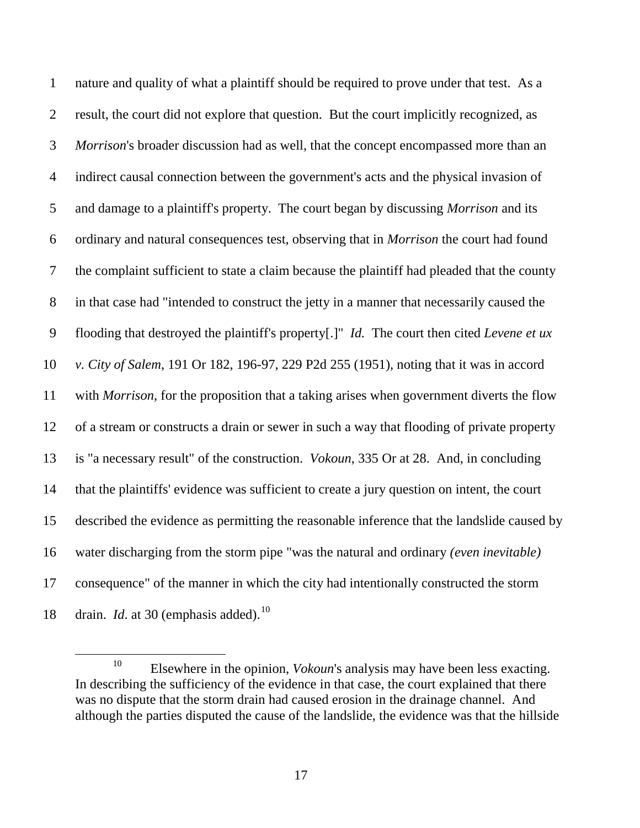nature and quality of what a plaintiff should be required to prove under that test. As a result, the court did not explore that question. But the court implicitly recognized, as *Morrison*'s broader discussion had as well, that the concept encompassed more than an indirect causal connection between the government's acts and the physical invasion of and damage to a plaintiff's property. The court began by discussing *Morrison* and its ordinary and natural consequences test, observing that in *Morrison* the court had found the complaint sufficient to state a claim because the plaintiff had pleaded that the county in that case had "intended to construct the jetty in a manner that necessarily caused the flooding that destroyed the plaintiff's property[.]" *Id.* The court then cited *Levene et ux v. City of Salem*, 191 Or 182, 196-97, 229 P2d 255 (1951), noting that it was in accord with *Morrison*, for the proposition that a taking arises when government diverts the flow of a stream or constructs a drain or sewer in such a way that flooding of private property is "a necessary result" of the construction. *Vokoun*, 335 Or at 28. And, in concluding that the plaintiffs' evidence was sufficient to create a jury question on intent, the court described the evidence as permitting the reasonable inference that the landslide caused by water discharging from the storm pipe "was the natural and ordinary *(even inevitable)* consequence" of the manner in which the city had intentionally constructed the storm 18 drain. *Id.* at 30 (emphasis added).<sup>[10](#page-17-0)</sup>

<span id="page-17-0"></span><sup>&</sup>lt;sup>10</sup> Elsewhere in the opinion, *Vokoun's* analysis may have been less exacting. In describing the sufficiency of the evidence in that case, the court explained that there was no dispute that the storm drain had caused erosion in the drainage channel. And although the parties disputed the cause of the landslide, the evidence was that the hillside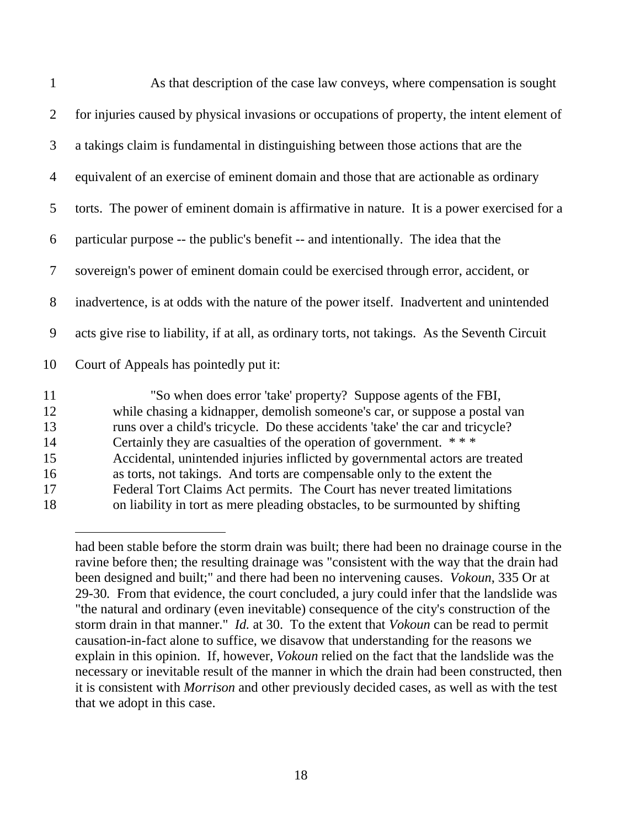| $\mathbf{1}$   | As that description of the case law conveys, where compensation is sought                                                                                                                                                      |
|----------------|--------------------------------------------------------------------------------------------------------------------------------------------------------------------------------------------------------------------------------|
| $\overline{2}$ | for injuries caused by physical invasions or occupations of property, the intent element of                                                                                                                                    |
| 3              | a takings claim is fundamental in distinguishing between those actions that are the                                                                                                                                            |
| 4              | equivalent of an exercise of eminent domain and those that are actionable as ordinary                                                                                                                                          |
| 5              | torts. The power of eminent domain is affirmative in nature. It is a power exercised for a                                                                                                                                     |
| 6              | particular purpose -- the public's benefit -- and intentionally. The idea that the                                                                                                                                             |
| $\tau$         | sovereign's power of eminent domain could be exercised through error, accident, or                                                                                                                                             |
| 8              | inadvertence, is at odds with the nature of the power itself. Inadvertent and unintended                                                                                                                                       |
| 9              | acts give rise to liability, if at all, as ordinary torts, not takings. As the Seventh Circuit                                                                                                                                 |
| 10             | Court of Appeals has pointedly put it:                                                                                                                                                                                         |
| 11<br>12<br>13 | "So when does error 'take' property? Suppose agents of the FBI,<br>while chasing a kidnapper, demolish someone's car, or suppose a postal van<br>runs over a child's tricycle. Do these accidents 'take' the car and tricycle? |

- 14 Certainly they are casualties of the operation of government. \*\*\*
- 15 Accidental, unintended injuries inflicted by governmental actors are treated
- 16 as torts, not takings. And torts are compensable only to the extent the

- 17 Federal Tort Claims Act permits. The Court has never treated limitations
- 18 on liability in tort as mere pleading obstacles, to be surmounted by shifting

had been stable before the storm drain was built; there had been no drainage course in the ravine before then; the resulting drainage was "consistent with the way that the drain had been designed and built;" and there had been no intervening causes. *Vokoun*, 335 Or at 29-30*.* From that evidence, the court concluded, a jury could infer that the landslide was "the natural and ordinary (even inevitable) consequence of the city's construction of the storm drain in that manner." *Id.* at 30. To the extent that *Vokoun* can be read to permit causation-in-fact alone to suffice, we disavow that understanding for the reasons we explain in this opinion. If, however, *Vokoun* relied on the fact that the landslide was the necessary or inevitable result of the manner in which the drain had been constructed, then it is consistent with *Morrison* and other previously decided cases, as well as with the test that we adopt in this case.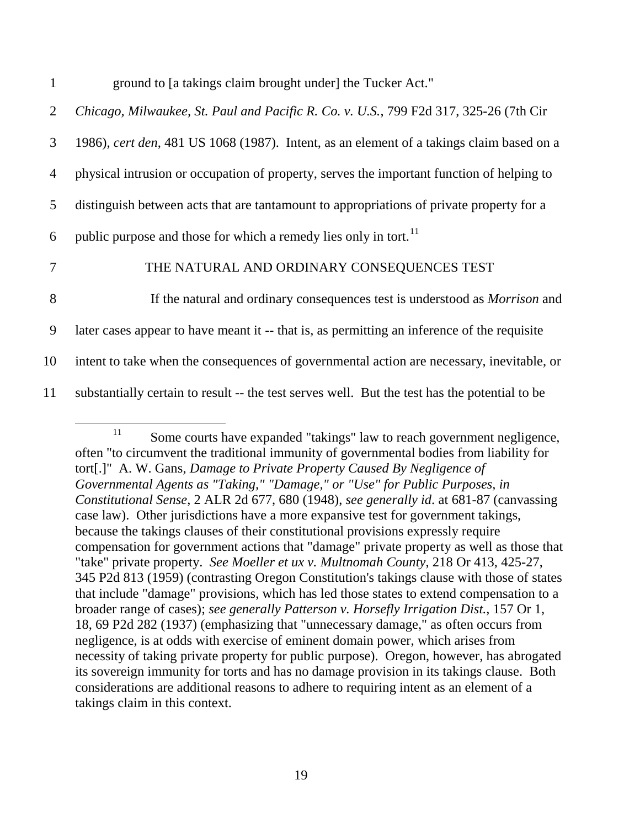| $\mathbf{1}$   | ground to [a takings claim brought under] the Tucker Act."                                    |
|----------------|-----------------------------------------------------------------------------------------------|
| 2              | Chicago, Milwaukee, St. Paul and Pacific R. Co. v. U.S., 799 F2d 317, 325-26 (7th Cir         |
| 3              | 1986), cert den, 481 US 1068 (1987). Intent, as an element of a takings claim based on a      |
| $\overline{4}$ | physical intrusion or occupation of property, serves the important function of helping to     |
| $\mathfrak{S}$ | distinguish between acts that are tantamount to appropriations of private property for a      |
| 6              | public purpose and those for which a remedy lies only in tort. <sup>11</sup>                  |
| 7              | THE NATURAL AND ORDINARY CONSEQUENCES TEST                                                    |
| 8              | If the natural and ordinary consequences test is understood as <i>Morrison</i> and            |
| 9              | later cases appear to have meant it -- that is, as permitting an inference of the requisite   |
| 10             | intent to take when the consequences of governmental action are necessary, inevitable, or     |
| 11             | substantially certain to result -- the test serves well. But the test has the potential to be |

<span id="page-19-0"></span><sup>&</sup>lt;sup>11</sup> Some courts have expanded "takings" law to reach government negligence, often "to circumvent the traditional immunity of governmental bodies from liability for tort[.]" A. W. Gans, *Damage to Private Property Caused By Negligence of Governmental Agents as "Taking," "Damage," or "Use" for Public Purposes, in Constitutional Sense*, 2 ALR 2d 677, 680 (1948), *see generally id*. at 681-87 (canvassing case law). Other jurisdictions have a more expansive test for government takings, because the takings clauses of their constitutional provisions expressly require compensation for government actions that "damage" private property as well as those that "take" private property. *See Moeller et ux v. Multnomah County*, 218 Or 413, 425-27, 345 P2d 813 (1959) (contrasting Oregon Constitution's takings clause with those of states that include "damage" provisions, which has led those states to extend compensation to a broader range of cases); *see generally Patterson v. Horsefly Irrigation Dist.*, 157 Or 1, 18, 69 P2d 282 (1937) (emphasizing that "unnecessary damage," as often occurs from negligence, is at odds with exercise of eminent domain power, which arises from necessity of taking private property for public purpose). Oregon, however, has abrogated its sovereign immunity for torts and has no damage provision in its takings clause. Both considerations are additional reasons to adhere to requiring intent as an element of a takings claim in this context.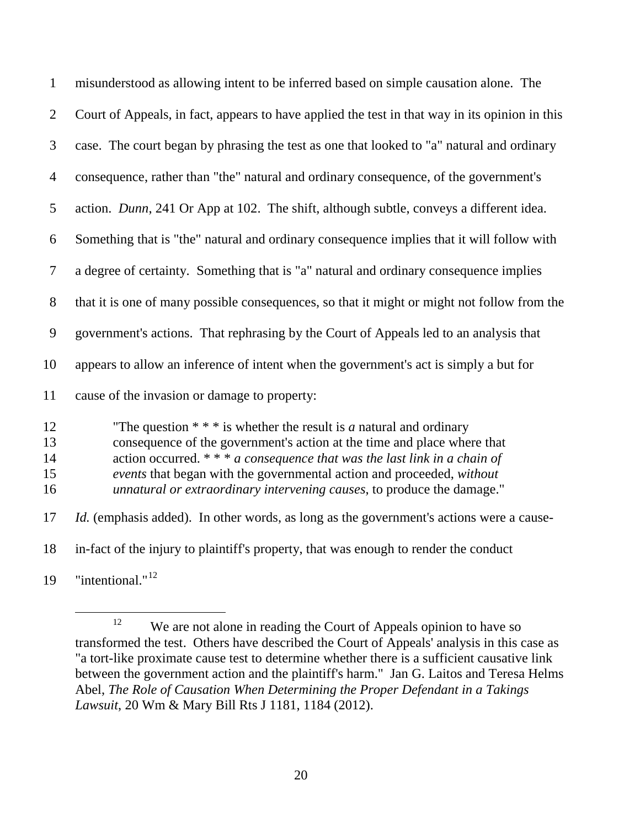| $\mathbf{1}$               | misunderstood as allowing intent to be inferred based on simple causation alone. The                                                                                                                                                                                                                                                                                                 |
|----------------------------|--------------------------------------------------------------------------------------------------------------------------------------------------------------------------------------------------------------------------------------------------------------------------------------------------------------------------------------------------------------------------------------|
| $\overline{2}$             | Court of Appeals, in fact, appears to have applied the test in that way in its opinion in this                                                                                                                                                                                                                                                                                       |
| 3                          | case. The court began by phrasing the test as one that looked to "a" natural and ordinary                                                                                                                                                                                                                                                                                            |
| $\overline{4}$             | consequence, rather than "the" natural and ordinary consequence, of the government's                                                                                                                                                                                                                                                                                                 |
| 5                          | action. Dunn, 241 Or App at 102. The shift, although subtle, conveys a different idea.                                                                                                                                                                                                                                                                                               |
| 6                          | Something that is "the" natural and ordinary consequence implies that it will follow with                                                                                                                                                                                                                                                                                            |
| $\overline{7}$             | a degree of certainty. Something that is "a" natural and ordinary consequence implies                                                                                                                                                                                                                                                                                                |
| 8                          | that it is one of many possible consequences, so that it might or might not follow from the                                                                                                                                                                                                                                                                                          |
| 9                          | government's actions. That rephrasing by the Court of Appeals led to an analysis that                                                                                                                                                                                                                                                                                                |
| 10                         | appears to allow an inference of intent when the government's act is simply a but for                                                                                                                                                                                                                                                                                                |
| 11                         | cause of the invasion or damage to property:                                                                                                                                                                                                                                                                                                                                         |
| 12<br>13<br>14<br>15<br>16 | "The question $**$ is whether the result is <i>a</i> natural and ordinary<br>consequence of the government's action at the time and place where that<br>action occurred. $*** a$ consequence that was the last link in a chain of<br>events that began with the governmental action and proceeded, without<br>unnatural or extraordinary intervening causes, to produce the damage." |
| 17                         | <i>Id.</i> (emphasis added). In other words, as long as the government's actions were a cause-                                                                                                                                                                                                                                                                                       |
| 18                         | in-fact of the injury to plaintiff's property, that was enough to render the conduct                                                                                                                                                                                                                                                                                                 |
| 19                         | "intentional." <sup>12</sup>                                                                                                                                                                                                                                                                                                                                                         |

<span id="page-20-0"></span><sup>&</sup>lt;sup>12</sup> We are not alone in reading the Court of Appeals opinion to have so transformed the test. Others have described the Court of Appeals' analysis in this case as "a tort-like proximate cause test to determine whether there is a sufficient causative link between the government action and the plaintiff's harm." Jan G. Laitos and Teresa Helms Abel, *The Role of Causation When Determining the Proper Defendant in a Takings Lawsuit*, 20 Wm & Mary Bill Rts J 1181, 1184 (2012).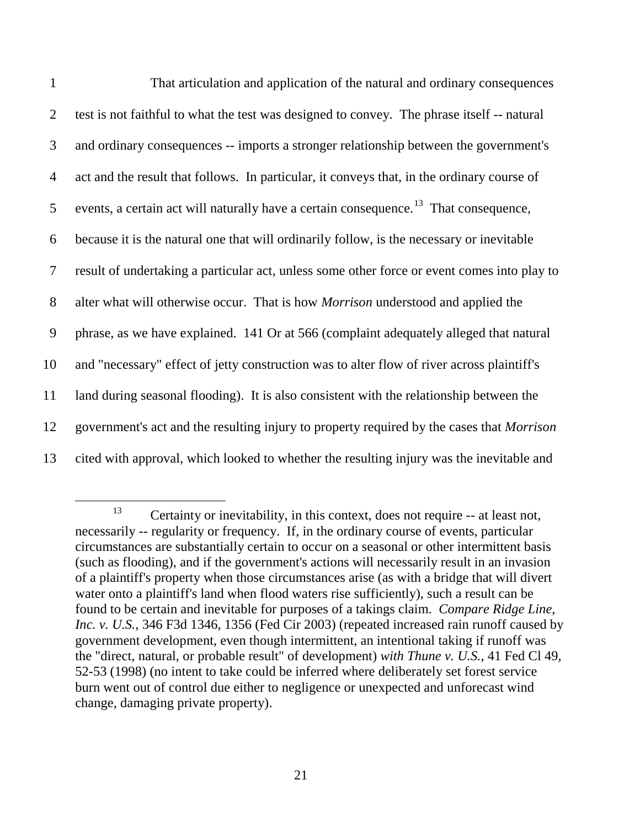| $\mathbf{1}$   | That articulation and application of the natural and ordinary consequences                       |
|----------------|--------------------------------------------------------------------------------------------------|
| $\overline{2}$ | test is not faithful to what the test was designed to convey. The phrase itself -- natural       |
| 3              | and ordinary consequences -- imports a stronger relationship between the government's            |
| 4              | act and the result that follows. In particular, it conveys that, in the ordinary course of       |
| 5              | events, a certain act will naturally have a certain consequence. <sup>13</sup> That consequence, |
| 6              | because it is the natural one that will ordinarily follow, is the necessary or inevitable        |
| 7              | result of undertaking a particular act, unless some other force or event comes into play to      |
| 8              | alter what will otherwise occur. That is how <i>Morrison</i> understood and applied the          |
| 9              | phrase, as we have explained. 141 Or at 566 (complaint adequately alleged that natural           |
| 10             | and "necessary" effect of jetty construction was to alter flow of river across plaintiff's       |
| 11             | land during seasonal flooding). It is also consistent with the relationship between the          |
| 12             | government's act and the resulting injury to property required by the cases that Morrison        |
| 13             | cited with approval, which looked to whether the resulting injury was the inevitable and         |

<span id="page-21-0"></span><sup>&</sup>lt;sup>13</sup> Certainty or inevitability, in this context, does not require  $-$  at least not, necessarily -- regularity or frequency. If, in the ordinary course of events, particular circumstances are substantially certain to occur on a seasonal or other intermittent basis (such as flooding), and if the government's actions will necessarily result in an invasion of a plaintiff's property when those circumstances arise (as with a bridge that will divert water onto a plaintiff's land when flood waters rise sufficiently), such a result can be found to be certain and inevitable for purposes of a takings claim. *Compare Ridge Line, Inc. v. U.S.*, 346 F3d 1346, 1356 (Fed Cir 2003) (repeated increased rain runoff caused by government development, even though intermittent, an intentional taking if runoff was the "direct, natural, or probable result" of development) *with Thune v. U.S.*, 41 Fed Cl 49, 52-53 (1998) (no intent to take could be inferred where deliberately set forest service burn went out of control due either to negligence or unexpected and unforecast wind change, damaging private property).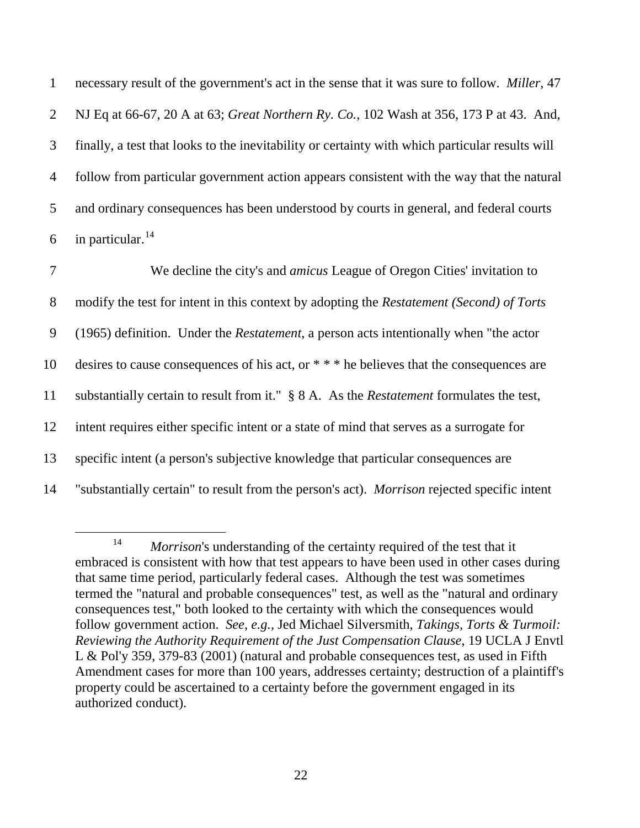necessary result of the government's act in the sense that it was sure to follow. *Miller*, 47 NJ Eq at 66-67, 20 A at 63; *Great Northern Ry. Co.*, 102 Wash at 356, 173 P at 43. And, finally, a test that looks to the inevitability or certainty with which particular results will follow from particular government action appears consistent with the way that the natural and ordinary consequences has been understood by courts in general, and federal courts 6 in particular.  $14$ 

 We decline the city's and *amicus* League of Oregon Cities' invitation to modify the test for intent in this context by adopting the *Restatement (Second) of Torts* (1965) definition. Under the *Restatement*, a person acts intentionally when "the actor desires to cause consequences of his act, or \* \* \* he believes that the consequences are substantially certain to result from it." § 8 A. As the *Restatement* formulates the test, intent requires either specific intent or a state of mind that serves as a surrogate for specific intent (a person's subjective knowledge that particular consequences are "substantially certain" to result from the person's act). *Morrison* rejected specific intent

<span id="page-22-0"></span><sup>&</sup>lt;sup>14</sup> *Morrison*'s understanding of the certainty required of the test that it embraced is consistent with how that test appears to have been used in other cases during that same time period, particularly federal cases. Although the test was sometimes termed the "natural and probable consequences" test, as well as the "natural and ordinary consequences test," both looked to the certainty with which the consequences would follow government action. *See, e.g.*, Jed Michael Silversmith, *Takings, Torts & Turmoil: Reviewing the Authority Requirement of the Just Compensation Clause*, 19 UCLA J Envtl L & Pol'y 359, 379-83 (2001) (natural and probable consequences test, as used in Fifth Amendment cases for more than 100 years, addresses certainty; destruction of a plaintiff's property could be ascertained to a certainty before the government engaged in its authorized conduct).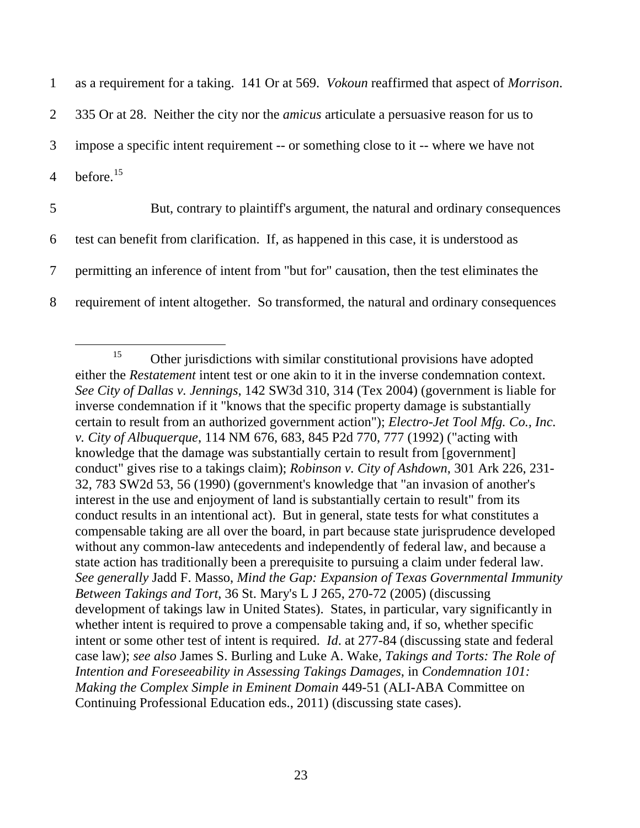| $\mathbf{1}$   | as a requirement for a taking. 141 Or at 569. <i>Vokoun</i> reaffirmed that aspect of <i>Morrison</i> . |
|----------------|---------------------------------------------------------------------------------------------------------|
| 2              | 335 Or at 28. Neither the city nor the <i>amicus</i> articulate a persuasive reason for us to           |
| 3              | impose a specific intent requirement -- or something close to it -- where we have not                   |
| $\overline{4}$ | before. <sup>15</sup>                                                                                   |
| 5              | But, contrary to plaintiff's argument, the natural and ordinary consequences                            |
|                |                                                                                                         |
| 6              | test can benefit from clarification. If, as happened in this case, it is understood as                  |
| 7              | permitting an inference of intent from "but for" causation, then the test eliminates the                |

<span id="page-23-0"></span> $15$  Other jurisdictions with similar constitutional provisions have adopted either the *Restatement* intent test or one akin to it in the inverse condemnation context. *See City of Dallas v. Jennings*, 142 SW3d 310, 314 (Tex 2004) (government is liable for inverse condemnation if it "knows that the specific property damage is substantially certain to result from an authorized government action"); *Electro-Jet Tool Mfg. Co., Inc. v. City of Albuquerque*, 114 NM 676, 683, 845 P2d 770, 777 (1992) ("acting with knowledge that the damage was substantially certain to result from [government] conduct" gives rise to a takings claim); *Robinson v. City of Ashdown*, 301 Ark 226, 231- 32, 783 SW2d 53, 56 (1990) (government's knowledge that "an invasion of another's interest in the use and enjoyment of land is substantially certain to result" from its conduct results in an intentional act). But in general, state tests for what constitutes a compensable taking are all over the board, in part because state jurisprudence developed without any common-law antecedents and independently of federal law, and because a state action has traditionally been a prerequisite to pursuing a claim under federal law. *See generally* Jadd F. Masso, *Mind the Gap: Expansion of Texas Governmental Immunity Between Takings and Tort*, 36 St. Mary's L J 265, 270-72 (2005) (discussing development of takings law in United States). States, in particular, vary significantly in whether intent is required to prove a compensable taking and, if so, whether specific intent or some other test of intent is required. *Id*. at 277-84 (discussing state and federal case law); *see also* James S. Burling and Luke A. Wake*, Takings and Torts: The Role of Intention and Foreseeability in Assessing Takings Damages*, in *Condemnation 101: Making the Complex Simple in Eminent Domain* 449-51 (ALI-ABA Committee on Continuing Professional Education eds., 2011) (discussing state cases).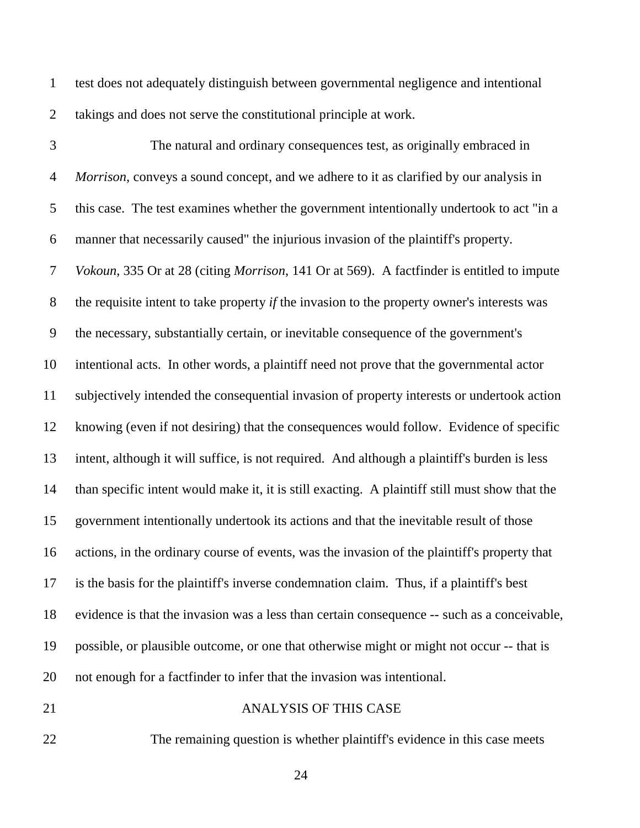test does not adequately distinguish between governmental negligence and intentional takings and does not serve the constitutional principle at work.

 The natural and ordinary consequences test, as originally embraced in *Morrison*, conveys a sound concept, and we adhere to it as clarified by our analysis in this case. The test examines whether the government intentionally undertook to act "in a manner that necessarily caused" the injurious invasion of the plaintiff's property. *Vokoun*, 335 Or at 28 (citing *Morrison*, 141 Or at 569). A factfinder is entitled to impute the requisite intent to take property *if* the invasion to the property owner's interests was the necessary, substantially certain, or inevitable consequence of the government's intentional acts. In other words, a plaintiff need not prove that the governmental actor subjectively intended the consequential invasion of property interests or undertook action knowing (even if not desiring) that the consequences would follow. Evidence of specific intent, although it will suffice, is not required. And although a plaintiff's burden is less than specific intent would make it, it is still exacting. A plaintiff still must show that the government intentionally undertook its actions and that the inevitable result of those actions, in the ordinary course of events, was the invasion of the plaintiff's property that is the basis for the plaintiff's inverse condemnation claim. Thus, if a plaintiff's best evidence is that the invasion was a less than certain consequence -- such as a conceivable, possible, or plausible outcome, or one that otherwise might or might not occur -- that is not enough for a factfinder to infer that the invasion was intentional.

## ANALYSIS OF THIS CASE

The remaining question is whether plaintiff's evidence in this case meets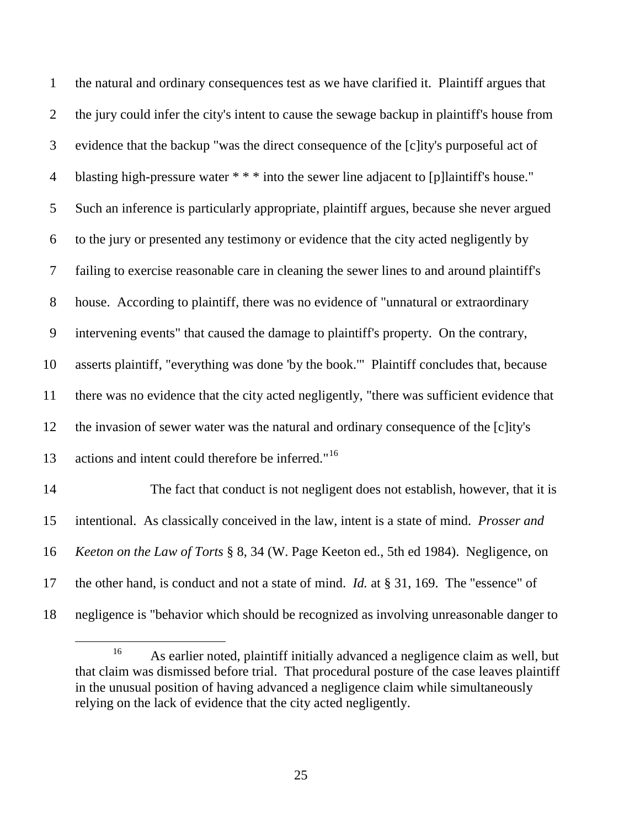| $\mathbf{1}$   | the natural and ordinary consequences test as we have clarified it. Plaintiff argues that         |
|----------------|---------------------------------------------------------------------------------------------------|
| $\overline{2}$ | the jury could infer the city's intent to cause the sewage backup in plaintiff's house from       |
| 3              | evidence that the backup "was the direct consequence of the [c]ity's purposeful act of            |
| $\overline{4}$ | blasting high-pressure water $**$ into the sewer line adjacent to [p] laintiff's house."          |
| 5              | Such an inference is particularly appropriate, plaintiff argues, because she never argued         |
| 6              | to the jury or presented any testimony or evidence that the city acted negligently by             |
| $\tau$         | failing to exercise reasonable care in cleaning the sewer lines to and around plaintiff's         |
| 8              | house. According to plaintiff, there was no evidence of "unnatural or extraordinary               |
| 9              | intervening events" that caused the damage to plaintiff's property. On the contrary,              |
| 10             | asserts plaintiff, "everything was done 'by the book." Plaintiff concludes that, because          |
| 11             | there was no evidence that the city acted negligently, "there was sufficient evidence that        |
| 12             | the invasion of sewer water was the natural and ordinary consequence of the [c]ity's              |
| 13             | actions and intent could therefore be inferred." <sup>16</sup>                                    |
| 14             | The fact that conduct is not negligent does not establish, however, that it is                    |
| 15             | intentional. As classically conceived in the law, intent is a state of mind. Prosser and          |
| 16             | Keeton on the Law of Torts § 8, 34 (W. Page Keeton ed., 5th ed 1984). Negligence, on              |
| 17             | the other hand, is conduct and not a state of mind. <i>Id.</i> at $\S 31$ , 169. The "essence" of |
| 18             | negligence is "behavior which should be recognized as involving unreasonable danger to            |

<span id="page-25-0"></span><sup>&</sup>lt;sup>16</sup> As earlier noted, plaintiff initially advanced a negligence claim as well, but that claim was dismissed before trial. That procedural posture of the case leaves plaintiff in the unusual position of having advanced a negligence claim while simultaneously relying on the lack of evidence that the city acted negligently.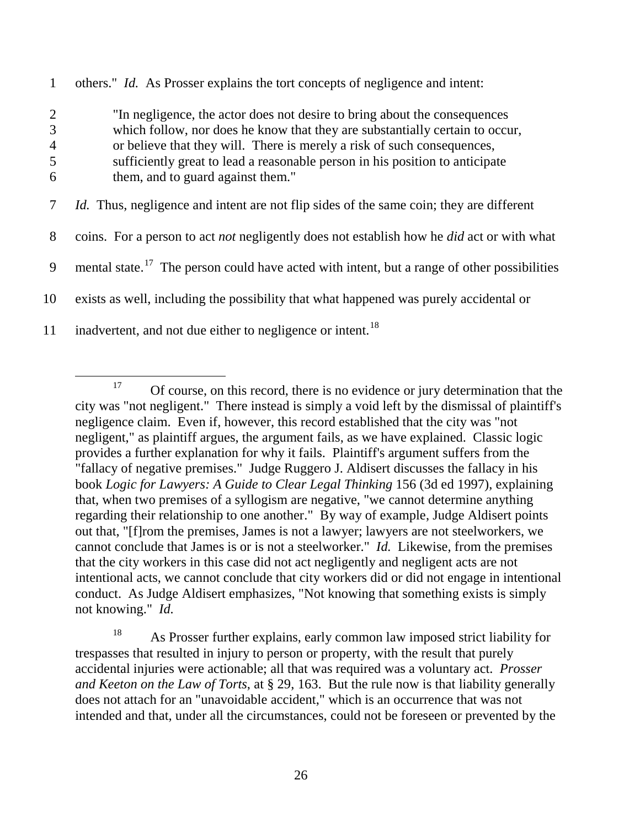1 others." *Id.* As Prosser explains the tort concepts of negligence and intent:

 "In negligence, the actor does not desire to bring about the consequences which follow, nor does he know that they are substantially certain to occur, or believe that they will. There is merely a risk of such consequences, sufficiently great to lead a reasonable person in his position to anticipate them, and to guard against them."

7 *Id.* Thus, negligence and intent are not flip sides of the same coin; they are different

8 coins. For a person to act *not* negligently does not establish how he *did* act or with what

9 mental state.<sup>[17](#page-26-0)</sup> The person could have acted with intent, but a range of other possibilities

10 exists as well, including the possibility that what happened was purely accidental or

11 inadvertent, and not due either to negligence or intent.<sup>[18](#page-26-1)</sup>

<span id="page-26-0"></span><sup>&</sup>lt;sup>17</sup> Of course, on this record, there is no evidence or jury determination that the city was "not negligent." There instead is simply a void left by the dismissal of plaintiff's negligence claim. Even if, however, this record established that the city was "not negligent," as plaintiff argues, the argument fails, as we have explained. Classic logic provides a further explanation for why it fails. Plaintiff's argument suffers from the "fallacy of negative premises." Judge Ruggero J. Aldisert discusses the fallacy in his book *Logic for Lawyers: A Guide to Clear Legal Thinking* 156 (3d ed 1997), explaining that, when two premises of a syllogism are negative, "we cannot determine anything regarding their relationship to one another." By way of example, Judge Aldisert points out that, "[f]rom the premises, James is not a lawyer; lawyers are not steelworkers, we cannot conclude that James is or is not a steelworker." *Id.* Likewise, from the premises that the city workers in this case did not act negligently and negligent acts are not intentional acts, we cannot conclude that city workers did or did not engage in intentional conduct. As Judge Aldisert emphasizes, "Not knowing that something exists is simply not knowing." *Id.*

<span id="page-26-1"></span><sup>&</sup>lt;sup>18</sup> As Prosser further explains, early common law imposed strict liability for trespasses that resulted in injury to person or property, with the result that purely accidental injuries were actionable; all that was required was a voluntary act. *Prosser and Keeton on the Law of Torts*, at § 29, 163. But the rule now is that liability generally does not attach for an "unavoidable accident," which is an occurrence that was not intended and that, under all the circumstances, could not be foreseen or prevented by the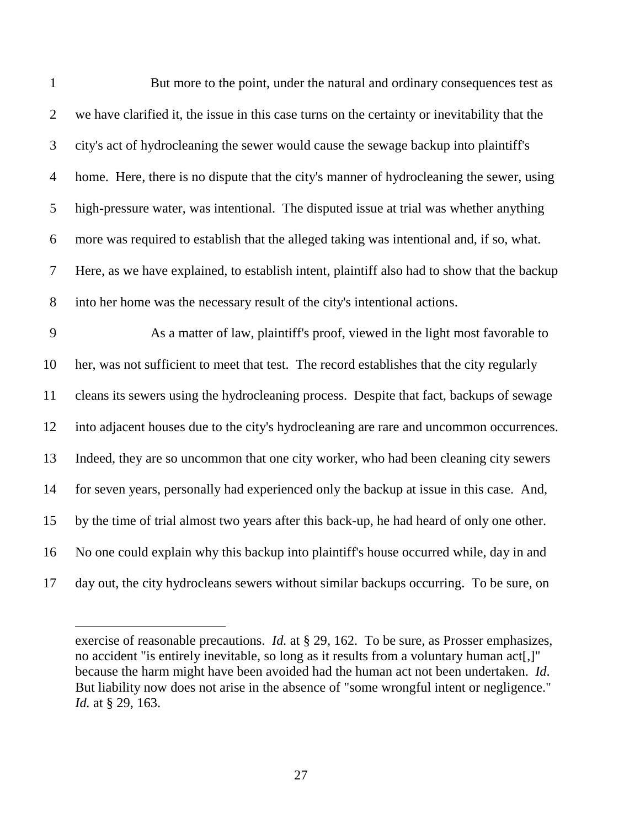| $\mathbf{1}$   | But more to the point, under the natural and ordinary consequences test as                    |
|----------------|-----------------------------------------------------------------------------------------------|
| $\overline{2}$ | we have clarified it, the issue in this case turns on the certainty or inevitability that the |
| 3              | city's act of hydrocleaning the sewer would cause the sewage backup into plaintiff's          |
| $\overline{4}$ | home. Here, there is no dispute that the city's manner of hydrocleaning the sewer, using      |
| 5              | high-pressure water, was intentional. The disputed issue at trial was whether anything        |
| 6              | more was required to establish that the alleged taking was intentional and, if so, what.      |
| 7              | Here, as we have explained, to establish intent, plaintiff also had to show that the backup   |
| 8              | into her home was the necessary result of the city's intentional actions.                     |
| 9              | As a matter of law, plaintiff's proof, viewed in the light most favorable to                  |
| 10             | her, was not sufficient to meet that test. The record establishes that the city regularly     |
| 11             | cleans its sewers using the hydrocleaning process. Despite that fact, backups of sewage       |
| 12             | into adjacent houses due to the city's hydrocleaning are rare and uncommon occurrences.       |
| 13             | Indeed, they are so uncommon that one city worker, who had been cleaning city sewers          |
| 14             | for seven years, personally had experienced only the backup at issue in this case. And,       |
| 15             | by the time of trial almost two years after this back-up, he had heard of only one other.     |
| 16             | No one could explain why this backup into plaintiff's house occurred while, day in and        |
| 17             | day out, the city hydrocleans sewers without similar backups occurring. To be sure, on        |

exercise of reasonable precautions. *Id.* at § 29, 162. To be sure, as Prosser emphasizes, no accident "is entirely inevitable, so long as it results from a voluntary human act[,]" because the harm might have been avoided had the human act not been undertaken. *Id*. But liability now does not arise in the absence of "some wrongful intent or negligence." *Id.* at § 29, 163.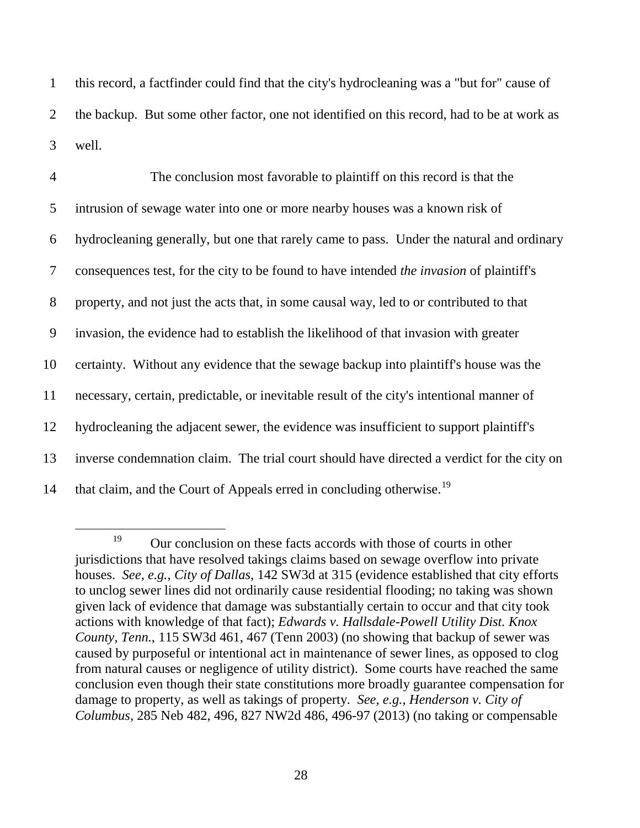1 this record, a factfinder could find that the city's hydrocleaning was a "but for" cause of 2 the backup. But some other factor, one not identified on this record, had to be at work as 3 well.

 The conclusion most favorable to plaintiff on this record is that the intrusion of sewage water into one or more nearby houses was a known risk of hydrocleaning generally, but one that rarely came to pass. Under the natural and ordinary consequences test, for the city to be found to have intended *the invasion* of plaintiff's property, and not just the acts that, in some causal way, led to or contributed to that invasion, the evidence had to establish the likelihood of that invasion with greater certainty. Without any evidence that the sewage backup into plaintiff's house was the necessary, certain, predictable, or inevitable result of the city's intentional manner of hydrocleaning the adjacent sewer, the evidence was insufficient to support plaintiff's inverse condemnation claim. The trial court should have directed a verdict for the city on 14 that claim, and the Court of Appeals erred in concluding otherwise.<sup>[19](#page-28-0)</sup>

<span id="page-28-0"></span><sup>&</sup>lt;sup>19</sup> Our conclusion on these facts accords with those of courts in other jurisdictions that have resolved takings claims based on sewage overflow into private houses. *See, e.g.*, *City of Dallas*, 142 SW3d at 315 (evidence established that city efforts to unclog sewer lines did not ordinarily cause residential flooding; no taking was shown given lack of evidence that damage was substantially certain to occur and that city took actions with knowledge of that fact); *Edwards v. Hallsdale-Powell Utility Dist. Knox County, Tenn.*, 115 SW3d 461, 467 (Tenn 2003) (no showing that backup of sewer was caused by purposeful or intentional act in maintenance of sewer lines, as opposed to clog from natural causes or negligence of utility district). Some courts have reached the same conclusion even though their state constitutions more broadly guarantee compensation for damage to property, as well as takings of property. *See, e.g.*, *Henderson v. City of Columbus*, 285 Neb 482, 496, 827 NW2d 486, 496-97 (2013) (no taking or compensable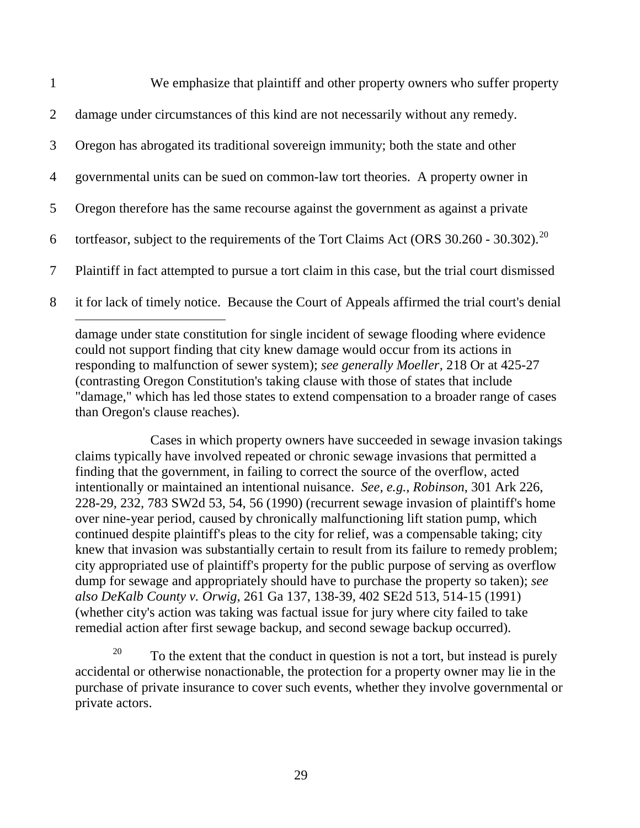| $\mathbf{1}$   | We emphasize that plaintiff and other property owners who suffer property                              |
|----------------|--------------------------------------------------------------------------------------------------------|
| 2              | damage under circumstances of this kind are not necessarily without any remedy.                        |
| 3              | Oregon has abrogated its traditional sovereign immunity; both the state and other                      |
| $\overline{4}$ | governmental units can be sued on common-law tort theories. A property owner in                        |
| 5              | Oregon therefore has the same recourse against the government as against a private                     |
| 6              | tortfeasor, subject to the requirements of the Tort Claims Act (ORS $30.260 - 30.302$ ). <sup>20</sup> |
| $\overline{7}$ | Plaintiff in fact attempted to pursue a tort claim in this case, but the trial court dismissed         |
| 8              | it for lack of timely notice. Because the Court of Appeals affirmed the trial court's denial           |

damage under state constitution for single incident of sewage flooding where evidence could not support finding that city knew damage would occur from its actions in responding to malfunction of sewer system); *see generally Moeller*, 218 Or at 425-27 (contrasting Oregon Constitution's taking clause with those of states that include "damage," which has led those states to extend compensation to a broader range of cases than Oregon's clause reaches).

 $\overline{a}$ 

Cases in which property owners have succeeded in sewage invasion takings claims typically have involved repeated or chronic sewage invasions that permitted a finding that the government, in failing to correct the source of the overflow, acted intentionally or maintained an intentional nuisance. *See, e.g.*, *Robinson*, 301 Ark 226, 228-29, 232, 783 SW2d 53, 54, 56 (1990) (recurrent sewage invasion of plaintiff's home over nine-year period, caused by chronically malfunctioning lift station pump, which continued despite plaintiff's pleas to the city for relief, was a compensable taking; city knew that invasion was substantially certain to result from its failure to remedy problem; city appropriated use of plaintiff's property for the public purpose of serving as overflow dump for sewage and appropriately should have to purchase the property so taken); *see also DeKalb County v. Orwig*, 261 Ga 137, 138-39, 402 SE2d 513, 514-15 (1991) (whether city's action was taking was factual issue for jury where city failed to take remedial action after first sewage backup, and second sewage backup occurred).

<span id="page-29-0"></span><sup>20</sup> To the extent that the conduct in question is not a tort, but instead is purely accidental or otherwise nonactionable, the protection for a property owner may lie in the purchase of private insurance to cover such events, whether they involve governmental or private actors.